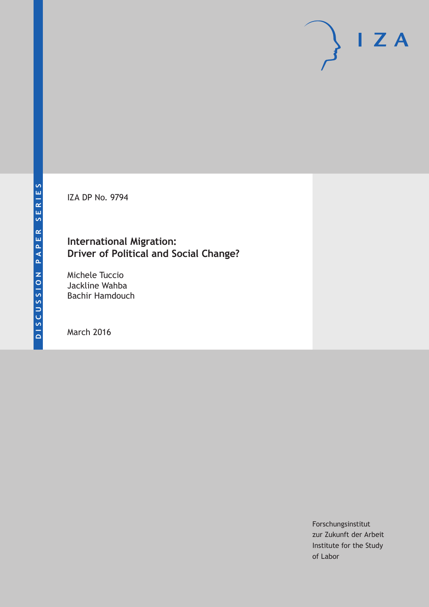IZA DP No. 9794

## **International Migration: Driver of Political and Social Change?**

Michele Tuccio Jackline Wahba Bachir Hamdouch

March 2016

Forschungsinstitut zur Zukunft der Arbeit Institute for the Study of Labor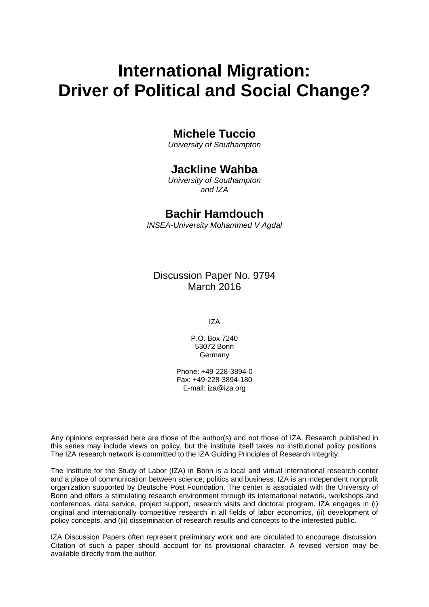# **International Migration: Driver of Political and Social Change?**

## **Michele Tuccio**

*University of Southampton* 

### **Jackline Wahba**

*University of Southampton and IZA* 

### **Bachir Hamdouch**

*INSEA-University Mohammed V Agdal*

Discussion Paper No. 9794 March 2016

IZA

P.O. Box 7240 53072 Bonn Germany

Phone: +49-228-3894-0 Fax: +49-228-3894-180 E-mail: iza@iza.org

Any opinions expressed here are those of the author(s) and not those of IZA. Research published in this series may include views on policy, but the institute itself takes no institutional policy positions. The IZA research network is committed to the IZA Guiding Principles of Research Integrity.

The Institute for the Study of Labor (IZA) in Bonn is a local and virtual international research center and a place of communication between science, politics and business. IZA is an independent nonprofit organization supported by Deutsche Post Foundation. The center is associated with the University of Bonn and offers a stimulating research environment through its international network, workshops and conferences, data service, project support, research visits and doctoral program. IZA engages in (i) original and internationally competitive research in all fields of labor economics, (ii) development of policy concepts, and (iii) dissemination of research results and concepts to the interested public.

IZA Discussion Papers often represent preliminary work and are circulated to encourage discussion. Citation of such a paper should account for its provisional character. A revised version may be available directly from the author.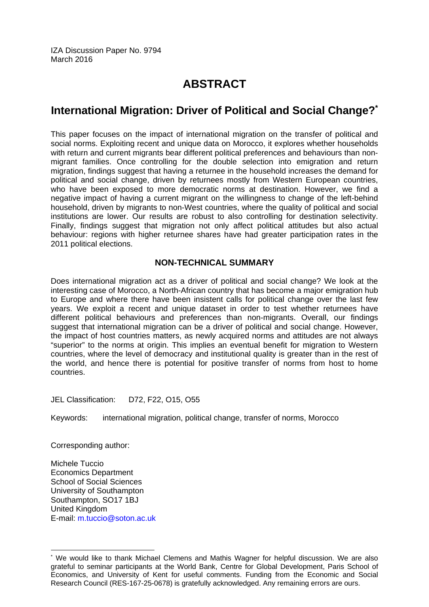IZA Discussion Paper No. 9794 March 2016

## **ABSTRACT**

## **International Migration: Driver of Political and Social Change?\***

This paper focuses on the impact of international migration on the transfer of political and social norms. Exploiting recent and unique data on Morocco, it explores whether households with return and current migrants bear different political preferences and behaviours than nonmigrant families. Once controlling for the double selection into emigration and return migration, findings suggest that having a returnee in the household increases the demand for political and social change, driven by returnees mostly from Western European countries, who have been exposed to more democratic norms at destination. However, we find a negative impact of having a current migrant on the willingness to change of the left-behind household, driven by migrants to non-West countries, where the quality of political and social institutions are lower. Our results are robust to also controlling for destination selectivity. Finally, findings suggest that migration not only affect political attitudes but also actual behaviour: regions with higher returnee shares have had greater participation rates in the 2011 political elections.

#### **NON-TECHNICAL SUMMARY**

Does international migration act as a driver of political and social change? We look at the interesting case of Morocco, a North-African country that has become a major emigration hub to Europe and where there have been insistent calls for political change over the last few years. We exploit a recent and unique dataset in order to test whether returnees have different political behaviours and preferences than non-migrants. Overall, our findings suggest that international migration can be a driver of political and social change. However, the impact of host countries matters, as newly acquired norms and attitudes are not always "superior" to the norms at origin. This implies an eventual benefit for migration to Western countries, where the level of democracy and institutional quality is greater than in the rest of the world, and hence there is potential for positive transfer of norms from host to home countries.

JEL Classification: D72, F22, O15, O55

Keywords: international migration, political change, transfer of norms, Morocco

Corresponding author:

 $\overline{a}$ 

Michele Tuccio Economics Department School of Social Sciences University of Southampton Southampton, SO17 1BJ United Kingdom E-mail: m.tuccio@soton.ac.uk

<sup>\*</sup> We would like to thank Michael Clemens and Mathis Wagner for helpful discussion. We are also grateful to seminar participants at the World Bank, Centre for Global Development, Paris School of Economics, and University of Kent for useful comments. Funding from the Economic and Social Research Council (RES-167-25-0678) is gratefully acknowledged. Any remaining errors are ours.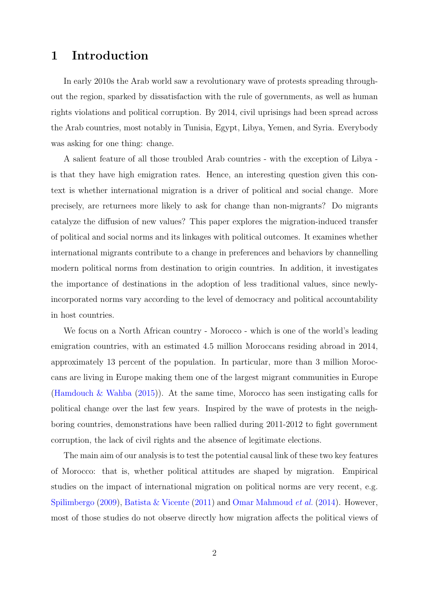## 1 Introduction

In early 2010s the Arab world saw a revolutionary wave of protests spreading throughout the region, sparked by dissatisfaction with the rule of governments, as well as human rights violations and political corruption. By 2014, civil uprisings had been spread across the Arab countries, most notably in Tunisia, Egypt, Libya, Yemen, and Syria. Everybody was asking for one thing: change.

A salient feature of all those troubled Arab countries - with the exception of Libya is that they have high emigration rates. Hence, an interesting question given this context is whether international migration is a driver of political and social change. More precisely, are returnees more likely to ask for change than non-migrants? Do migrants catalyze the diffusion of new values? This paper explores the migration-induced transfer of political and social norms and its linkages with political outcomes. It examines whether international migrants contribute to a change in preferences and behaviors by channelling modern political norms from destination to origin countries. In addition, it investigates the importance of destinations in the adoption of less traditional values, since newlyincorporated norms vary according to the level of democracy and political accountability in host countries.

We focus on a North African country - Morocco - which is one of the world's leading emigration countries, with an estimated 4.5 million Moroccans residing abroad in 2014, approximately 13 percent of the population. In particular, more than 3 million Moroccans are living in Europe making them one of the largest migrant communities in Europe [\(Hamdouch & Wahba](#page-26-0) [\(2015\)](#page-26-0)). At the same time, Morocco has seen instigating calls for political change over the last few years. Inspired by the wave of protests in the neighboring countries, demonstrations have been rallied during 2011-2012 to fight government corruption, the lack of civil rights and the absence of legitimate elections.

The main aim of our analysis is to test the potential causal link of these two key features of Morocco: that is, whether political attitudes are shaped by migration. Empirical studies on the impact of international migration on political norms are very recent, e.g. [Spilimbergo](#page-26-1) [\(2009\)](#page-26-1), [Batista & Vicente](#page-25-0) [\(2011\)](#page-25-0) and [Omar Mahmoud](#page-26-2) *et al.* [\(2014\)](#page-26-2). However, most of those studies do not observe directly how migration affects the political views of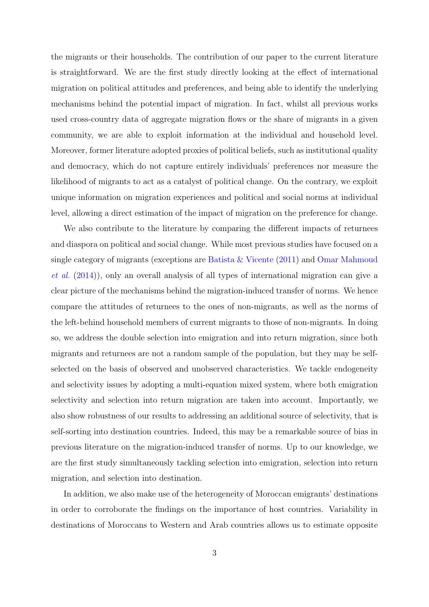the migrants or their households. The contribution of our paper to the current literature is straightforward. We are the first study directly looking at the effect of international migration on political attitudes and preferences, and being able to identify the underlying mechanisms behind the potential impact of migration. In fact, whilst all previous works used cross-country data of aggregate migration flows or the share of migrants in a given community, we are able to exploit information at the individual and household level. Moreover, former literature adopted proxies of political beliefs, such as institutional quality and democracy, which do not capture entirely individuals' preferences nor measure the likelihood of migrants to act as a catalyst of political change. On the contrary, we exploit unique information on migration experiences and political and social norms at individual level, allowing a direct estimation of the impact of migration on the preference for change.

We also contribute to the literature by comparing the different impacts of returnees and diaspora on political and social change. While most previous studies have focused on a single category of migrants (exceptions are [Batista & Vicente](#page-25-0) [\(2011\)](#page-25-0) and [Omar Mahmoud](#page-26-2) [et al.](#page-26-2) [\(2014\)](#page-26-2)), only an overall analysis of all types of international migration can give a clear picture of the mechanisms behind the migration-induced transfer of norms. We hence compare the attitudes of returnees to the ones of non-migrants, as well as the norms of the left-behind household members of current migrants to those of non-migrants. In doing so, we address the double selection into emigration and into return migration, since both migrants and returnees are not a random sample of the population, but they may be selfselected on the basis of observed and unobserved characteristics. We tackle endogeneity and selectivity issues by adopting a multi-equation mixed system, where both emigration selectivity and selection into return migration are taken into account. Importantly, we also show robustness of our results to addressing an additional source of selectivity, that is self-sorting into destination countries. Indeed, this may be a remarkable source of bias in previous literature on the migration-induced transfer of norms. Up to our knowledge, we are the first study simultaneously tackling selection into emigration, selection into return migration, and selection into destination.

In addition, we also make use of the heterogeneity of Moroccan emigrants' destinations in order to corroborate the findings on the importance of host countries. Variability in destinations of Moroccans to Western and Arab countries allows us to estimate opposite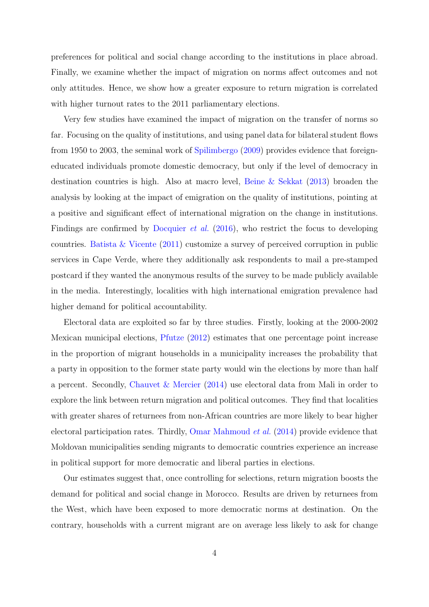preferences for political and social change according to the institutions in place abroad. Finally, we examine whether the impact of migration on norms affect outcomes and not only attitudes. Hence, we show how a greater exposure to return migration is correlated with higher turnout rates to the 2011 parliamentary elections.

Very few studies have examined the impact of migration on the transfer of norms so far. Focusing on the quality of institutions, and using panel data for bilateral student flows from 1950 to 2003, the seminal work of [Spilimbergo](#page-26-1) [\(2009\)](#page-26-1) provides evidence that foreigneducated individuals promote domestic democracy, but only if the level of democracy in destination countries is high. Also at macro level, [Beine & Sekkat](#page-25-1) [\(2013\)](#page-25-1) broaden the analysis by looking at the impact of emigration on the quality of institutions, pointing at a positive and significant effect of international migration on the change in institutions. Findings are confirmed by [Docquier](#page-25-2) *et al.* [\(2016\)](#page-25-2), who restrict the focus to developing countries. [Batista & Vicente](#page-25-0) [\(2011\)](#page-25-0) customize a survey of perceived corruption in public services in Cape Verde, where they additionally ask respondents to mail a pre-stamped postcard if they wanted the anonymous results of the survey to be made publicly available in the media. Interestingly, localities with high international emigration prevalence had higher demand for political accountability.

Electoral data are exploited so far by three studies. Firstly, looking at the 2000-2002 Mexican municipal elections, [Pfutze](#page-26-3) [\(2012\)](#page-26-3) estimates that one percentage point increase in the proportion of migrant households in a municipality increases the probability that a party in opposition to the former state party would win the elections by more than half a percent. Secondly, [Chauvet & Mercier](#page-25-3) [\(2014\)](#page-25-3) use electoral data from Mali in order to explore the link between return migration and political outcomes. They find that localities with greater shares of returnees from non-African countries are more likely to bear higher electoral participation rates. Thirdly, [Omar Mahmoud](#page-26-2) et al. [\(2014\)](#page-26-2) provide evidence that Moldovan municipalities sending migrants to democratic countries experience an increase in political support for more democratic and liberal parties in elections.

Our estimates suggest that, once controlling for selections, return migration boosts the demand for political and social change in Morocco. Results are driven by returnees from the West, which have been exposed to more democratic norms at destination. On the contrary, households with a current migrant are on average less likely to ask for change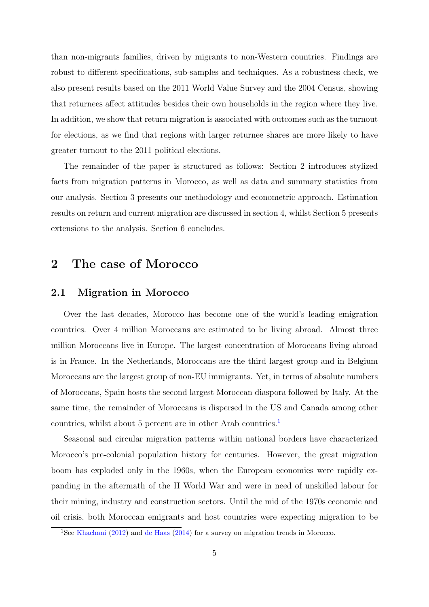than non-migrants families, driven by migrants to non-Western countries. Findings are robust to different specifications, sub-samples and techniques. As a robustness check, we also present results based on the 2011 World Value Survey and the 2004 Census, showing that returnees affect attitudes besides their own households in the region where they live. In addition, we show that return migration is associated with outcomes such as the turnout for elections, as we find that regions with larger returnee shares are more likely to have greater turnout to the 2011 political elections.

The remainder of the paper is structured as follows: Section 2 introduces stylized facts from migration patterns in Morocco, as well as data and summary statistics from our analysis. Section 3 presents our methodology and econometric approach. Estimation results on return and current migration are discussed in section 4, whilst Section 5 presents extensions to the analysis. Section 6 concludes.

## 2 The case of Morocco

#### 2.1 Migration in Morocco

Over the last decades, Morocco has become one of the world's leading emigration countries. Over 4 million Moroccans are estimated to be living abroad. Almost three million Moroccans live in Europe. The largest concentration of Moroccans living abroad is in France. In the Netherlands, Moroccans are the third largest group and in Belgium Moroccans are the largest group of non-EU immigrants. Yet, in terms of absolute numbers of Moroccans, Spain hosts the second largest Moroccan diaspora followed by Italy. At the same time, the remainder of Moroccans is dispersed in the US and Canada among other countries, whilst about 5 percent are in other Arab countries.<sup>[1](#page-6-0)</sup>

Seasonal and circular migration patterns within national borders have characterized Morocco's pre-colonial population history for centuries. However, the great migration boom has exploded only in the 1960s, when the European economies were rapidly expanding in the aftermath of the II World War and were in need of unskilled labour for their mining, industry and construction sectors. Until the mid of the 1970s economic and oil crisis, both Moroccan emigrants and host countries were expecting migration to be

<span id="page-6-0"></span><sup>1</sup>See [Khachani](#page-26-4) [\(2012\)](#page-26-4) and [de Haas](#page-25-4) [\(2014\)](#page-25-4) for a survey on migration trends in Morocco.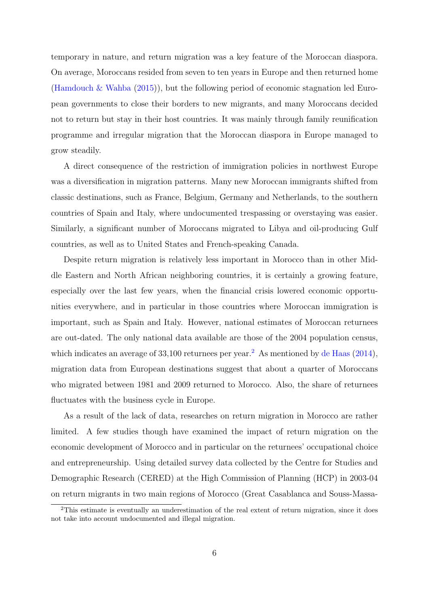temporary in nature, and return migration was a key feature of the Moroccan diaspora. On average, Moroccans resided from seven to ten years in Europe and then returned home [\(Hamdouch & Wahba](#page-26-0) [\(2015\)](#page-26-0)), but the following period of economic stagnation led European governments to close their borders to new migrants, and many Moroccans decided not to return but stay in their host countries. It was mainly through family reunification programme and irregular migration that the Moroccan diaspora in Europe managed to grow steadily.

A direct consequence of the restriction of immigration policies in northwest Europe was a diversification in migration patterns. Many new Moroccan immigrants shifted from classic destinations, such as France, Belgium, Germany and Netherlands, to the southern countries of Spain and Italy, where undocumented trespassing or overstaying was easier. Similarly, a significant number of Moroccans migrated to Libya and oil-producing Gulf countries, as well as to United States and French-speaking Canada.

Despite return migration is relatively less important in Morocco than in other Middle Eastern and North African neighboring countries, it is certainly a growing feature, especially over the last few years, when the financial crisis lowered economic opportunities everywhere, and in particular in those countries where Moroccan immigration is important, such as Spain and Italy. However, national estimates of Moroccan returnees are out-dated. The only national data available are those of the 2004 population census, which indicates an average of  $33,100$  returnees per year.<sup>[2](#page-7-0)</sup> As mentioned by [de Haas](#page-25-4) [\(2014\)](#page-25-4), migration data from European destinations suggest that about a quarter of Moroccans who migrated between 1981 and 2009 returned to Morocco. Also, the share of returnees fluctuates with the business cycle in Europe.

As a result of the lack of data, researches on return migration in Morocco are rather limited. A few studies though have examined the impact of return migration on the economic development of Morocco and in particular on the returnees' occupational choice and entrepreneurship. Using detailed survey data collected by the Centre for Studies and Demographic Research (CERED) at the High Commission of Planning (HCP) in 2003-04 on return migrants in two main regions of Morocco (Great Casablanca and Souss-Massa-

<span id="page-7-0"></span><sup>2</sup>This estimate is eventually an underestimation of the real extent of return migration, since it does not take into account undocumented and illegal migration.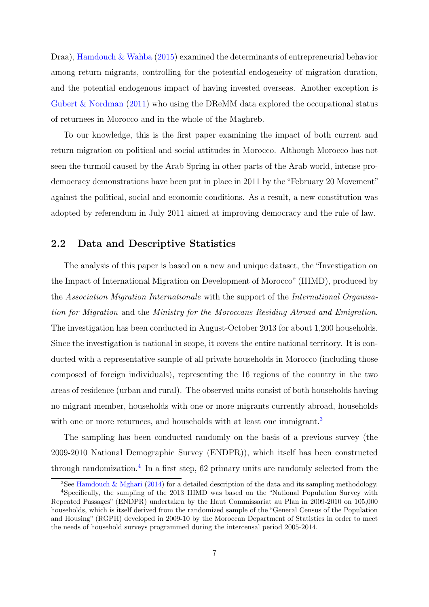Draa), [Hamdouch & Wahba](#page-26-0) [\(2015\)](#page-26-0) examined the determinants of entrepreneurial behavior among return migrants, controlling for the potential endogeneity of migration duration, and the potential endogenous impact of having invested overseas. Another exception is [Gubert & Nordman](#page-25-5) [\(2011\)](#page-25-5) who using the DReMM data explored the occupational status of returnees in Morocco and in the whole of the Maghreb.

To our knowledge, this is the first paper examining the impact of both current and return migration on political and social attitudes in Morocco. Although Morocco has not seen the turmoil caused by the Arab Spring in other parts of the Arab world, intense prodemocracy demonstrations have been put in place in 2011 by the "February 20 Movement" against the political, social and economic conditions. As a result, a new constitution was adopted by referendum in July 2011 aimed at improving democracy and the rule of law.

#### 2.2 Data and Descriptive Statistics

The analysis of this paper is based on a new and unique dataset, the "Investigation on the Impact of International Migration on Development of Morocco" (IIIMD), produced by the Association Migration Internationale with the support of the International Organisation for Migration and the Ministry for the Moroccans Residing Abroad and Emigration. The investigation has been conducted in August-October 2013 for about 1,200 households. Since the investigation is national in scope, it covers the entire national territory. It is conducted with a representative sample of all private households in Morocco (including those composed of foreign individuals), representing the 16 regions of the country in the two areas of residence (urban and rural). The observed units consist of both households having no migrant member, households with one or more migrants currently abroad, households with one or more returnees, and households with at least one immigrant.<sup>[3](#page-8-0)</sup>

The sampling has been conducted randomly on the basis of a previous survey (the 2009-2010 National Demographic Survey (ENDPR)), which itself has been constructed through randomization.[4](#page-8-1) In a first step, 62 primary units are randomly selected from the

<span id="page-8-1"></span><span id="page-8-0"></span><sup>&</sup>lt;sup>3</sup>See [Hamdouch & Mghari](#page-26-5) [\(2014\)](#page-26-5) for a detailed description of the data and its sampling methodology.

<sup>4</sup>Specifically, the sampling of the 2013 IIIMD was based on the "National Population Survey with Repeated Passages" (ENDPR) undertaken by the Haut Commissariat au Plan in 2009-2010 on 105,000 households, which is itself derived from the randomized sample of the "General Census of the Population and Housing" (RGPH) developed in 2009-10 by the Moroccan Department of Statistics in order to meet the needs of household surveys programmed during the intercensal period 2005-2014.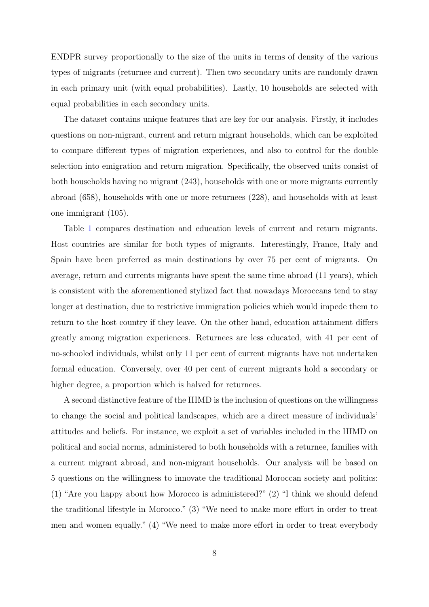ENDPR survey proportionally to the size of the units in terms of density of the various types of migrants (returnee and current). Then two secondary units are randomly drawn in each primary unit (with equal probabilities). Lastly, 10 households are selected with equal probabilities in each secondary units.

The dataset contains unique features that are key for our analysis. Firstly, it includes questions on non-migrant, current and return migrant households, which can be exploited to compare different types of migration experiences, and also to control for the double selection into emigration and return migration. Specifically, the observed units consist of both households having no migrant (243), households with one or more migrants currently abroad (658), households with one or more returnees (228), and households with at least one immigrant (105).

Table [1](#page-27-0) compares destination and education levels of current and return migrants. Host countries are similar for both types of migrants. Interestingly, France, Italy and Spain have been preferred as main destinations by over 75 per cent of migrants. On average, return and currents migrants have spent the same time abroad (11 years), which is consistent with the aforementioned stylized fact that nowadays Moroccans tend to stay longer at destination, due to restrictive immigration policies which would impede them to return to the host country if they leave. On the other hand, education attainment differs greatly among migration experiences. Returnees are less educated, with 41 per cent of no-schooled individuals, whilst only 11 per cent of current migrants have not undertaken formal education. Conversely, over 40 per cent of current migrants hold a secondary or higher degree, a proportion which is halved for returnees.

A second distinctive feature of the IIIMD is the inclusion of questions on the willingness to change the social and political landscapes, which are a direct measure of individuals' attitudes and beliefs. For instance, we exploit a set of variables included in the IIIMD on political and social norms, administered to both households with a returnee, families with a current migrant abroad, and non-migrant households. Our analysis will be based on 5 questions on the willingness to innovate the traditional Moroccan society and politics: (1) "Are you happy about how Morocco is administered?" (2) "I think we should defend the traditional lifestyle in Morocco." (3) "We need to make more effort in order to treat men and women equally." (4) "We need to make more effort in order to treat everybody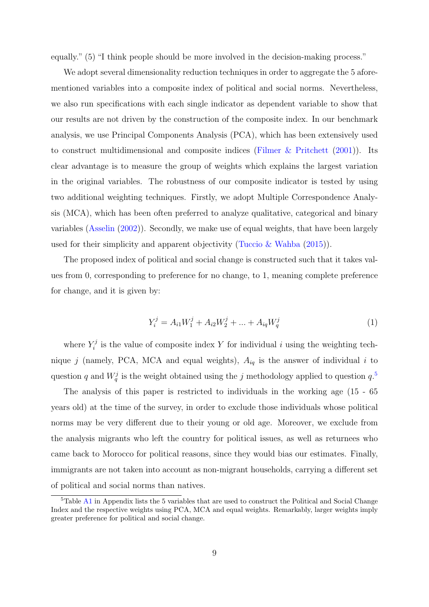equally." (5) "I think people should be more involved in the decision-making process."

We adopt several dimensionality reduction techniques in order to aggregate the 5 aforementioned variables into a composite index of political and social norms. Nevertheless, we also run specifications with each single indicator as dependent variable to show that our results are not driven by the construction of the composite index. In our benchmark analysis, we use Principal Components Analysis (PCA), which has been extensively used to construct multidimensional and composite indices (Filmer  $\&$  Pritchett [\(2001\)](#page-25-6)). Its clear advantage is to measure the group of weights which explains the largest variation in the original variables. The robustness of our composite indicator is tested by using two additional weighting techniques. Firstly, we adopt Multiple Correspondence Analysis (MCA), which has been often preferred to analyze qualitative, categorical and binary variables [\(Asselin](#page-25-7) [\(2002\)](#page-25-7)). Secondly, we make use of equal weights, that have been largely used for their simplicity and apparent objectivity [\(Tuccio & Wahba](#page-26-6) [\(2015\)](#page-26-6)).

The proposed index of political and social change is constructed such that it takes values from 0, corresponding to preference for no change, to 1, meaning complete preference for change, and it is given by:

$$
Y_i^j = A_{i1}W_1^j + A_{i2}W_2^j + \dots + A_{iq}W_q^j \tag{1}
$$

where  $Y_i^j$  $i_i^j$  is the value of composite index Y for individual i using the weighting technique j (namely, PCA, MCA and equal weights),  $A_{iq}$  is the answer of individual i to question q and  $W_q^j$  is the weight obtained using the j methodology applied to question  $q$ .<sup>[5](#page-10-0)</sup>

The analysis of this paper is restricted to individuals in the working age (15 - 65 years old) at the time of the survey, in order to exclude those individuals whose political norms may be very different due to their young or old age. Moreover, we exclude from the analysis migrants who left the country for political issues, as well as returnees who came back to Morocco for political reasons, since they would bias our estimates. Finally, immigrants are not taken into account as non-migrant households, carrying a different set of political and social norms than natives.

<span id="page-10-0"></span><sup>&</sup>lt;sup>5</sup>Table [A1](#page-27-0) in Appendix lists the 5 variables that are used to construct the Political and Social Change Index and the respective weights using PCA, MCA and equal weights. Remarkably, larger weights imply greater preference for political and social change.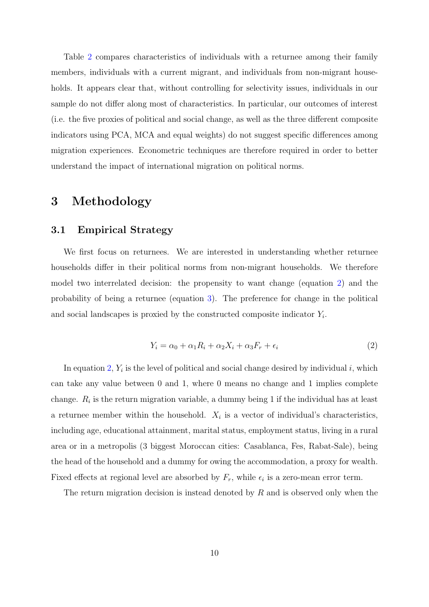Table [2](#page-28-0) compares characteristics of individuals with a returnee among their family members, individuals with a current migrant, and individuals from non-migrant households. It appears clear that, without controlling for selectivity issues, individuals in our sample do not differ along most of characteristics. In particular, our outcomes of interest (i.e. the five proxies of political and social change, as well as the three different composite indicators using PCA, MCA and equal weights) do not suggest specific differences among migration experiences. Econometric techniques are therefore required in order to better understand the impact of international migration on political norms.

#### 3 Methodology

#### 3.1 Empirical Strategy

We first focus on returnees. We are interested in understanding whether returnee households differ in their political norms from non-migrant households. We therefore model two interrelated decision: the propensity to want change (equation [2\)](#page-11-0) and the probability of being a returnee (equation [3\)](#page-12-0). The preference for change in the political and social landscapes is proxied by the constructed composite indicator  $Y_i$ .

$$
Y_i = \alpha_0 + \alpha_1 R_i + \alpha_2 X_i + \alpha_3 F_r + \epsilon_i \tag{2}
$$

<span id="page-11-0"></span>In equation [2,](#page-11-0)  $Y_i$  is the level of political and social change desired by individual i, which can take any value between 0 and 1, where 0 means no change and 1 implies complete change.  $R_i$  is the return migration variable, a dummy being 1 if the individual has at least a returnee member within the household.  $X_i$  is a vector of individual's characteristics, including age, educational attainment, marital status, employment status, living in a rural area or in a metropolis (3 biggest Moroccan cities: Casablanca, Fes, Rabat-Sale), being the head of the household and a dummy for owing the accommodation, a proxy for wealth. Fixed effects at regional level are absorbed by  $F_r$ , while  $\epsilon_i$  is a zero-mean error term.

The return migration decision is instead denoted by  $R$  and is observed only when the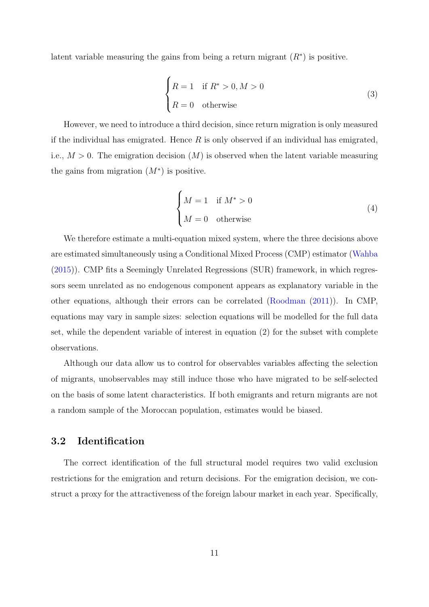<span id="page-12-0"></span>latent variable measuring the gains from being a return migrant  $(R^*)$  is positive.

$$
\begin{cases}\nR = 1 & \text{if } R^* > 0, M > 0 \\
R = 0 & \text{otherwise}\n\end{cases}
$$
\n(3)

However, we need to introduce a third decision, since return migration is only measured if the individual has emigrated. Hence  $R$  is only observed if an individual has emigrated, i.e.,  $M > 0$ . The emigration decision  $(M)$  is observed when the latent variable measuring the gains from migration  $(M^*)$  is positive.

$$
\begin{cases}\nM = 1 & \text{if } M^* > 0 \\
M = 0 & \text{otherwise}\n\end{cases}
$$
\n(4)

We therefore estimate a multi-equation mixed system, where the three decisions above are estimated simultaneously using a Conditional Mixed Process (CMP) estimator [\(Wahba](#page-26-7) [\(2015\)](#page-26-7)). CMP fits a Seemingly Unrelated Regressions (SUR) framework, in which regressors seem unrelated as no endogenous component appears as explanatory variable in the other equations, although their errors can be correlated [\(Roodman](#page-26-8) [\(2011\)](#page-26-8)). In CMP, equations may vary in sample sizes: selection equations will be modelled for the full data set, while the dependent variable of interest in equation (2) for the subset with complete observations.

Although our data allow us to control for observables variables affecting the selection of migrants, unobservables may still induce those who have migrated to be self-selected on the basis of some latent characteristics. If both emigrants and return migrants are not a random sample of the Moroccan population, estimates would be biased.

#### 3.2 Identification

The correct identification of the full structural model requires two valid exclusion restrictions for the emigration and return decisions. For the emigration decision, we construct a proxy for the attractiveness of the foreign labour market in each year. Specifically,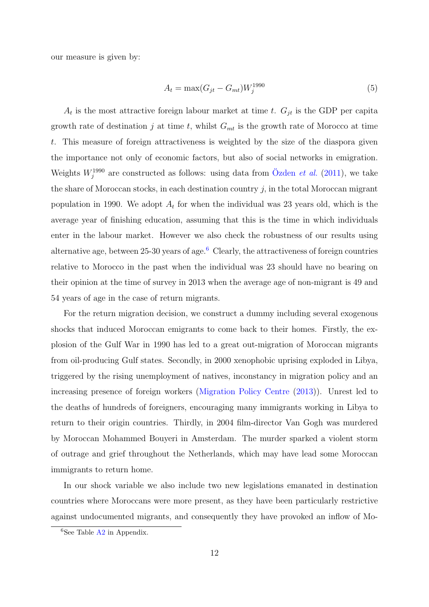<span id="page-13-1"></span>our measure is given by:

$$
A_t = \max(G_{jt} - G_{mt})W_j^{1990}
$$
\n(5)

 $A_t$  is the most attractive foreign labour market at time t.  $G_{jt}$  is the GDP per capita growth rate of destination j at time t, whilst  $G_{mt}$  is the growth rate of Morocco at time t. This measure of foreign attractiveness is weighted by the size of the diaspora given the importance not only of economic factors, but also of social networks in emigration. Weights  $W_j^{1990}$  are constructed as follows: using data from Özden *et al.* [\(2011\)](#page-26-9), we take the share of Moroccan stocks, in each destination country  $j$ , in the total Moroccan migrant population in 1990. We adopt  $A_t$  for when the individual was 23 years old, which is the average year of finishing education, assuming that this is the time in which individuals enter in the labour market. However we also check the robustness of our results using alternative age, between  $25-30$  years of age.<sup>[6](#page-13-0)</sup> Clearly, the attractiveness of foreign countries relative to Morocco in the past when the individual was 23 should have no bearing on their opinion at the time of survey in 2013 when the average age of non-migrant is 49 and 54 years of age in the case of return migrants.

For the return migration decision, we construct a dummy including several exogenous shocks that induced Moroccan emigrants to come back to their homes. Firstly, the explosion of the Gulf War in 1990 has led to a great out-migration of Moroccan migrants from oil-producing Gulf states. Secondly, in 2000 xenophobic uprising exploded in Libya, triggered by the rising unemployment of natives, inconstancy in migration policy and an increasing presence of foreign workers [\(Migration Policy Centre](#page-26-10) [\(2013\)](#page-26-10)). Unrest led to the deaths of hundreds of foreigners, encouraging many immigrants working in Libya to return to their origin countries. Thirdly, in 2004 film-director Van Gogh was murdered by Moroccan Mohammed Bouyeri in Amsterdam. The murder sparked a violent storm of outrage and grief throughout the Netherlands, which may have lead some Moroccan immigrants to return home.

In our shock variable we also include two new legislations emanated in destination countries where Moroccans were more present, as they have been particularly restrictive against undocumented migrants, and consequently they have provoked an inflow of Mo-

<span id="page-13-0"></span><sup>6</sup>See Table [A2](#page-28-0) in Appendix.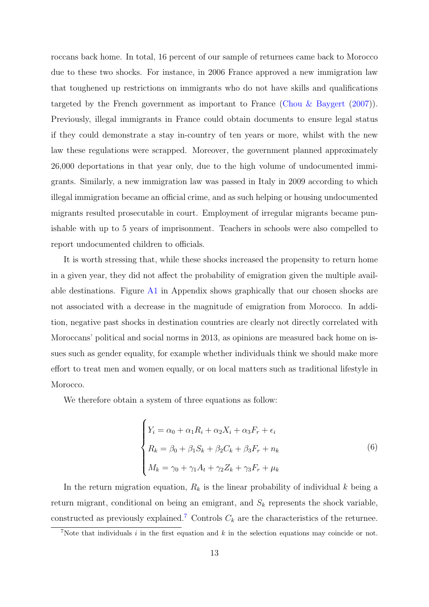roccans back home. In total, 16 percent of our sample of returnees came back to Morocco due to these two shocks. For instance, in 2006 France approved a new immigration law that toughened up restrictions on immigrants who do not have skills and qualifications targeted by the French government as important to France [\(Chou & Baygert](#page-25-8)  $(2007)$ ). Previously, illegal immigrants in France could obtain documents to ensure legal status if they could demonstrate a stay in-country of ten years or more, whilst with the new law these regulations were scrapped. Moreover, the government planned approximately 26,000 deportations in that year only, due to the high volume of undocumented immigrants. Similarly, a new immigration law was passed in Italy in 2009 according to which illegal immigration became an official crime, and as such helping or housing undocumented migrants resulted prosecutable in court. Employment of irregular migrants became punishable with up to 5 years of imprisonment. Teachers in schools were also compelled to report undocumented children to officials.

It is worth stressing that, while these shocks increased the propensity to return home in a given year, they did not affect the probability of emigration given the multiple available destinations. Figure [A1](#page-42-0) in Appendix shows graphically that our chosen shocks are not associated with a decrease in the magnitude of emigration from Morocco. In addition, negative past shocks in destination countries are clearly not directly correlated with Moroccans' political and social norms in 2013, as opinions are measured back home on issues such as gender equality, for example whether individuals think we should make more effort to treat men and women equally, or on local matters such as traditional lifestyle in Morocco.

We therefore obtain a system of three equations as follow:

$$
\begin{cases}\nY_i = \alpha_0 + \alpha_1 R_i + \alpha_2 X_i + \alpha_3 F_r + \epsilon_i \\
R_k = \beta_0 + \beta_1 S_k + \beta_2 C_k + \beta_3 F_r + n_k \\
M_k = \gamma_0 + \gamma_1 A_t + \gamma_2 Z_k + \gamma_3 F_r + \mu_k\n\end{cases} \tag{6}
$$

In the return migration equation,  $R_k$  is the linear probability of individual k being a return migrant, conditional on being an emigrant, and  $S_k$  represents the shock variable, constructed as previously explained.<sup>[7](#page-14-0)</sup> Controls  $C_k$  are the characteristics of the returnee.

<span id="page-14-0"></span><sup>&</sup>lt;sup>7</sup>Note that individuals  $i$  in the first equation and  $k$  in the selection equations may coincide or not.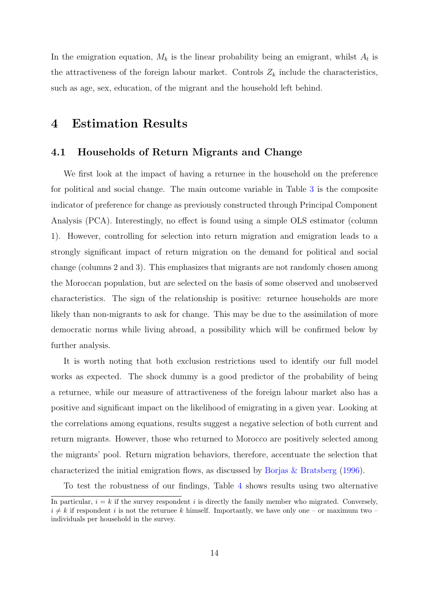In the emigration equation,  $M_k$  is the linear probability being an emigrant, whilst  $A_t$  is the attractiveness of the foreign labour market. Controls  $Z_k$  include the characteristics, such as age, sex, education, of the migrant and the household left behind.

#### 4 Estimation Results

#### 4.1 Households of Return Migrants and Change

We first look at the impact of having a returnee in the household on the preference for political and social change. The main outcome variable in Table [3](#page-29-0) is the composite indicator of preference for change as previously constructed through Principal Component Analysis (PCA). Interestingly, no effect is found using a simple OLS estimator (column 1). However, controlling for selection into return migration and emigration leads to a strongly significant impact of return migration on the demand for political and social change (columns 2 and 3). This emphasizes that migrants are not randomly chosen among the Moroccan population, but are selected on the basis of some observed and unobserved characteristics. The sign of the relationship is positive: returnee households are more likely than non-migrants to ask for change. This may be due to the assimilation of more democratic norms while living abroad, a possibility which will be confirmed below by further analysis.

It is worth noting that both exclusion restrictions used to identify our full model works as expected. The shock dummy is a good predictor of the probability of being a returnee, while our measure of attractiveness of the foreign labour market also has a positive and significant impact on the likelihood of emigrating in a given year. Looking at the correlations among equations, results suggest a negative selection of both current and return migrants. However, those who returned to Morocco are positively selected among the migrants' pool. Return migration behaviors, therefore, accentuate the selection that characterized the initial emigration flows, as discussed by [Borjas & Bratsberg](#page-25-9) [\(1996\)](#page-25-9).

To test the robustness of our findings, Table [4](#page-30-0) shows results using two alternative

In particular,  $i = k$  if the survey respondent i is directly the family member who migrated. Conversely,  $i \neq k$  if respondent i is not the returnee k himself. Importantly, we have only one – or maximum two – individuals per household in the survey.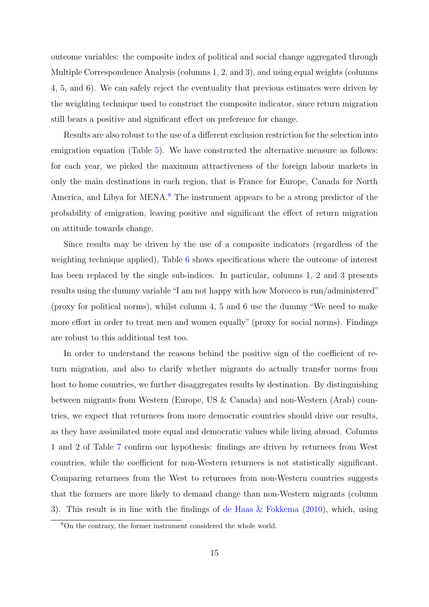outcome variables: the composite index of political and social change aggregated through Multiple Correspondence Analysis (columns 1, 2, and 3), and using equal weights (columns 4, 5, and 6). We can safely reject the eventuality that previous estimates were driven by the weighting technique used to construct the composite indicator, since return migration still bears a positive and significant effect on preference for change.

Results are also robust to the use of a different exclusion restriction for the selection into emigration equation (Table [5\)](#page-31-0). We have constructed the alternative measure as follows: for each year, we picked the maximum attractiveness of the foreign labour markets in only the main destinations in each region, that is France for Europe, Canada for North America, and Libya for MENA.<sup>[8](#page-16-0)</sup> The instrument appears to be a strong predictor of the probability of emigration, leaving positive and significant the effect of return migration on attitude towards change.

Since results may be driven by the use of a composite indicators (regardless of the weighting technique applied), Table [6](#page-32-0) shows specifications where the outcome of interest has been replaced by the single sub-indices. In particular, columns 1, 2 and 3 presents results using the dummy variable "I am not happy with how Morocco is run/administered" (proxy for political norms), whilst column 4, 5 and 6 use the dummy "We need to make more effort in order to treat men and women equally" (proxy for social norms). Findings are robust to this additional test too.

In order to understand the reasons behind the positive sign of the coefficient of return migration, and also to clarify whether migrants do actually transfer norms from host to home countries, we further disaggregates results by destination. By distinguishing between migrants from Western (Europe, US & Canada) and non-Western (Arab) countries, we expect that returnees from more democratic countries should drive our results, as they have assimilated more equal and democratic values while living abroad. Columns 1 and 2 of Table [7](#page-33-0) confirm our hypothesis: findings are driven by returnees from West countries, while the coefficient for non-Western returnees is not statistically significant. Comparing returnees from the West to returnees from non-Western countries suggests that the formers are more likely to demand change than non-Western migrants (column 3). This result is in line with the findings of de Haas  $\&$  Fokkema [\(2010\)](#page-25-10), which, using

<span id="page-16-0"></span><sup>8</sup>On the contrary, the former instrument considered the whole world.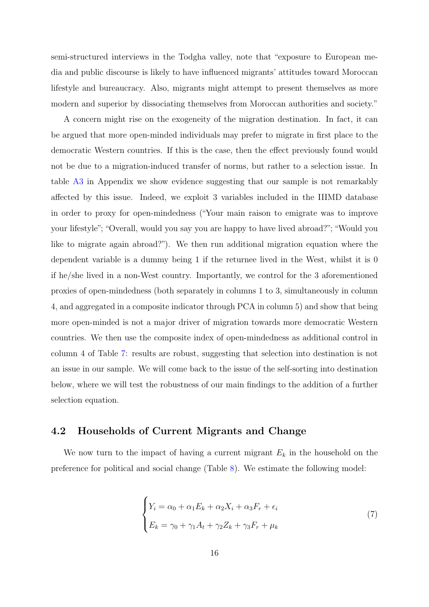semi-structured interviews in the Todgha valley, note that "exposure to European media and public discourse is likely to have influenced migrants' attitudes toward Moroccan lifestyle and bureaucracy. Also, migrants might attempt to present themselves as more modern and superior by dissociating themselves from Moroccan authorities and society."

A concern might rise on the exogeneity of the migration destination. In fact, it can be argued that more open-minded individuals may prefer to migrate in first place to the democratic Western countries. If this is the case, then the effect previously found would not be due to a migration-induced transfer of norms, but rather to a selection issue. In table [A3](#page-29-0) in Appendix we show evidence suggesting that our sample is not remarkably affected by this issue. Indeed, we exploit 3 variables included in the IIIMD database in order to proxy for open-mindedness ("Your main raison to emigrate was to improve your lifestyle"; "Overall, would you say you are happy to have lived abroad?"; "Would you like to migrate again abroad?"). We then run additional migration equation where the dependent variable is a dummy being 1 if the returnee lived in the West, whilst it is 0 if he/she lived in a non-West country. Importantly, we control for the 3 aforementioned proxies of open-mindedness (both separately in columns 1 to 3, simultaneously in column 4, and aggregated in a composite indicator through PCA in column 5) and show that being more open-minded is not a major driver of migration towards more democratic Western countries. We then use the composite index of open-mindedness as additional control in column 4 of Table [7:](#page-33-0) results are robust, suggesting that selection into destination is not an issue in our sample. We will come back to the issue of the self-sorting into destination below, where we will test the robustness of our main findings to the addition of a further selection equation.

#### 4.2 Households of Current Migrants and Change

We now turn to the impact of having a current migrant  $E_k$  in the household on the preference for political and social change (Table [8\)](#page-34-0). We estimate the following model:

$$
\begin{cases}\nY_i = \alpha_0 + \alpha_1 E_k + \alpha_2 X_i + \alpha_3 F_r + \epsilon_i \\
E_k = \gamma_0 + \gamma_1 A_t + \gamma_2 Z_k + \gamma_3 F_r + \mu_k\n\end{cases} (7)
$$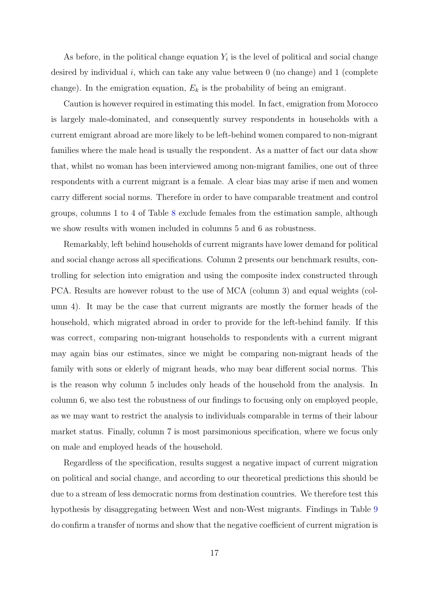As before, in the political change equation  $Y_i$  is the level of political and social change desired by individual i, which can take any value between  $0$  (no change) and  $1$  (complete change). In the emigration equation,  $E_k$  is the probability of being an emigrant.

Caution is however required in estimating this model. In fact, emigration from Morocco is largely male-dominated, and consequently survey respondents in households with a current emigrant abroad are more likely to be left-behind women compared to non-migrant families where the male head is usually the respondent. As a matter of fact our data show that, whilst no woman has been interviewed among non-migrant families, one out of three respondents with a current migrant is a female. A clear bias may arise if men and women carry different social norms. Therefore in order to have comparable treatment and control groups, columns 1 to 4 of Table [8](#page-34-0) exclude females from the estimation sample, although we show results with women included in columns 5 and 6 as robustness.

Remarkably, left behind households of current migrants have lower demand for political and social change across all specifications. Column 2 presents our benchmark results, controlling for selection into emigration and using the composite index constructed through PCA. Results are however robust to the use of MCA (column 3) and equal weights (column 4). It may be the case that current migrants are mostly the former heads of the household, which migrated abroad in order to provide for the left-behind family. If this was correct, comparing non-migrant households to respondents with a current migrant may again bias our estimates, since we might be comparing non-migrant heads of the family with sons or elderly of migrant heads, who may bear different social norms. This is the reason why column 5 includes only heads of the household from the analysis. In column 6, we also test the robustness of our findings to focusing only on employed people, as we may want to restrict the analysis to individuals comparable in terms of their labour market status. Finally, column 7 is most parsimonious specification, where we focus only on male and employed heads of the household.

Regardless of the specification, results suggest a negative impact of current migration on political and social change, and according to our theoretical predictions this should be due to a stream of less democratic norms from destination countries. We therefore test this hypothesis by disaggregating between West and non-West migrants. Findings in Table [9](#page-35-0) do confirm a transfer of norms and show that the negative coefficient of current migration is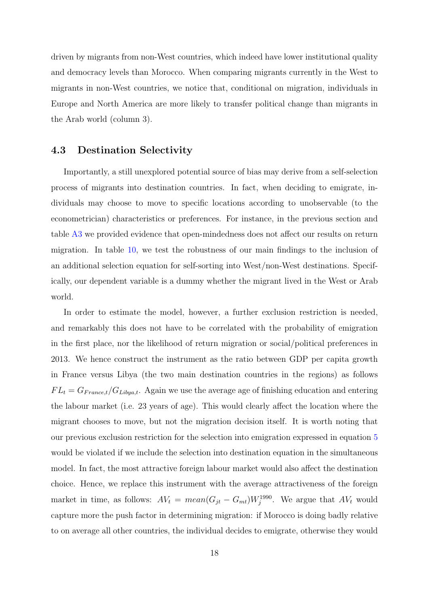driven by migrants from non-West countries, which indeed have lower institutional quality and democracy levels than Morocco. When comparing migrants currently in the West to migrants in non-West countries, we notice that, conditional on migration, individuals in Europe and North America are more likely to transfer political change than migrants in the Arab world (column 3).

#### 4.3 Destination Selectivity

Importantly, a still unexplored potential source of bias may derive from a self-selection process of migrants into destination countries. In fact, when deciding to emigrate, individuals may choose to move to specific locations according to unobservable (to the econometrician) characteristics or preferences. For instance, in the previous section and table [A3](#page-29-0) we provided evidence that open-mindedness does not affect our results on return migration. In table [10,](#page-36-0) we test the robustness of our main findings to the inclusion of an additional selection equation for self-sorting into West/non-West destinations. Specifically, our dependent variable is a dummy whether the migrant lived in the West or Arab world.

In order to estimate the model, however, a further exclusion restriction is needed, and remarkably this does not have to be correlated with the probability of emigration in the first place, nor the likelihood of return migration or social/political preferences in 2013. We hence construct the instrument as the ratio between GDP per capita growth in France versus Libya (the two main destination countries in the regions) as follows  $FL_t = G_{France,t}/G_{Libya,t}$ . Again we use the average age of finishing education and entering the labour market (i.e. 23 years of age). This would clearly affect the location where the migrant chooses to move, but not the migration decision itself. It is worth noting that our previous exclusion restriction for the selection into emigration expressed in equation [5](#page-13-1) would be violated if we include the selection into destination equation in the simultaneous model. In fact, the most attractive foreign labour market would also affect the destination choice. Hence, we replace this instrument with the average attractiveness of the foreign market in time, as follows:  $AV_t = mean(G_{jt} - G_{mt})W_j^{1990}$ . We argue that  $AV_t$  would capture more the push factor in determining migration: if Morocco is doing badly relative to on average all other countries, the individual decides to emigrate, otherwise they would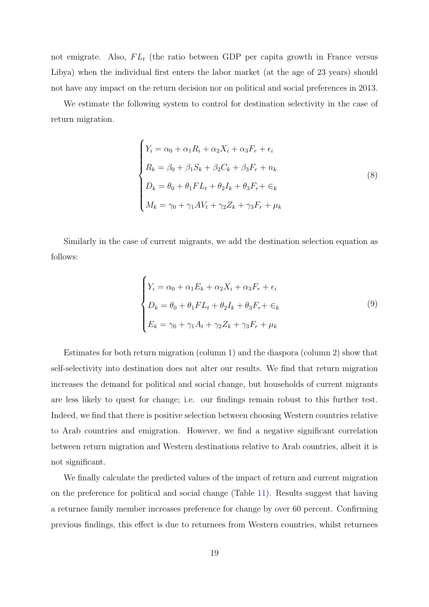not emigrate. Also,  $FL_t$  (the ratio between GDP per capita growth in France versus Libya) when the individual first enters the labor market (at the age of 23 years) should not have any impact on the return decision nor on political and social preferences in 2013.

We estimate the following system to control for destination selectivity in the case of return migration.

$$
\begin{cases}\nY_i = \alpha_0 + \alpha_1 R_i + \alpha_2 X_i + \alpha_3 F_r + \epsilon_i \\
R_k = \beta_0 + \beta_1 S_k + \beta_2 C_k + \beta_3 F_r + n_k \\
D_k = \theta_0 + \theta_1 F L_t + \theta_2 I_k + \theta_3 F_r + \epsilon_k \\
M_k = \gamma_0 + \gamma_1 A V_t + \gamma_2 Z_k + \gamma_3 F_r + \mu_k\n\end{cases} (8)
$$

Similarly in the case of current migrants, we add the destination selection equation as follows:

$$
\begin{cases}\nY_i = \alpha_0 + \alpha_1 E_k + \alpha_2 X_i + \alpha_3 F_r + \epsilon_i \\
D_k = \theta_0 + \theta_1 F L_t + \theta_2 I_k + \theta_3 F_r + \epsilon_k \\
E_k = \gamma_0 + \gamma_1 A_t + \gamma_2 Z_k + \gamma_3 F_r + \mu_k\n\end{cases} \tag{9}
$$

Estimates for both return migration (column 1) and the diaspora (column 2) show that self-selectivity into destination does not alter our results. We find that return migration increases the demand for political and social change, but households of current migrants are less likely to quest for change; i.e. our findings remain robust to this further test. Indeed, we find that there is positive selection between choosing Western countries relative to Arab countries and emigration. However, we find a negative significant correlation between return migration and Western destinations relative to Arab countries, albeit it is not significant.

We finally calculate the predicted values of the impact of return and current migration on the preference for political and social change (Table [11\)](#page-37-0). Results suggest that having a returnee family member increases preference for change by over 60 percent. Confirming previous findings, this effect is due to returnees from Western countries, whilst returnees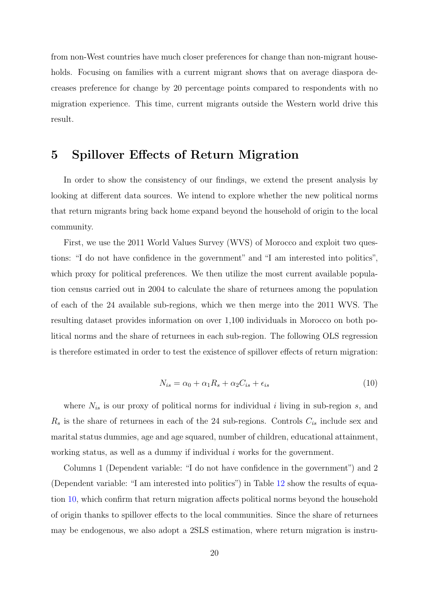from non-West countries have much closer preferences for change than non-migrant households. Focusing on families with a current migrant shows that on average diaspora decreases preference for change by 20 percentage points compared to respondents with no migration experience. This time, current migrants outside the Western world drive this result.

#### 5 Spillover Effects of Return Migration

In order to show the consistency of our findings, we extend the present analysis by looking at different data sources. We intend to explore whether the new political norms that return migrants bring back home expand beyond the household of origin to the local community.

First, we use the 2011 World Values Survey (WVS) of Morocco and exploit two questions: "I do not have confidence in the government" and "I am interested into politics", which proxy for political preferences. We then utilize the most current available population census carried out in 2004 to calculate the share of returnees among the population of each of the 24 available sub-regions, which we then merge into the 2011 WVS. The resulting dataset provides information on over 1,100 individuals in Morocco on both political norms and the share of returnees in each sub-region. The following OLS regression is therefore estimated in order to test the existence of spillover effects of return migration:

$$
N_{is} = \alpha_0 + \alpha_1 R_s + \alpha_2 C_{is} + \epsilon_{is}
$$
\n<sup>(10)</sup>

<span id="page-21-0"></span>where  $N_{is}$  is our proxy of political norms for individual i living in sub-region s, and  $R_s$  is the share of returnees in each of the 24 sub-regions. Controls  $C_{is}$  include sex and marital status dummies, age and age squared, number of children, educational attainment, working status, as well as a dummy if individual  $i$  works for the government.

Columns 1 (Dependent variable: "I do not have confidence in the government") and 2 (Dependent variable: "I am interested into politics") in Table [12](#page-38-0) show the results of equation [10,](#page-21-0) which confirm that return migration affects political norms beyond the household of origin thanks to spillover effects to the local communities. Since the share of returnees may be endogenous, we also adopt a 2SLS estimation, where return migration is instru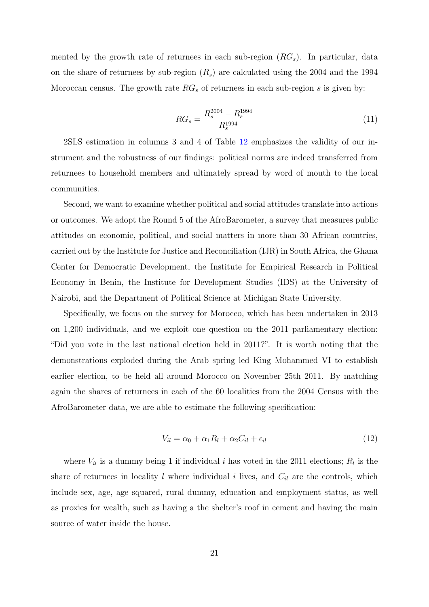mented by the growth rate of returnees in each sub-region  $(RG<sub>s</sub>)$ . In particular, data on the share of returnees by sub-region  $(R_s)$  are calculated using the 2004 and the 1994 Moroccan census. The growth rate  $RG_s$  of returnees in each sub-region s is given by:

$$
RG_s = \frac{R_s^{2004} - R_s^{1994}}{R_s^{1994}}
$$
\n
$$
\tag{11}
$$

2SLS estimation in columns 3 and 4 of Table [12](#page-38-0) emphasizes the validity of our instrument and the robustness of our findings: political norms are indeed transferred from returnees to household members and ultimately spread by word of mouth to the local communities.

Second, we want to examine whether political and social attitudes translate into actions or outcomes. We adopt the Round 5 of the AfroBarometer, a survey that measures public attitudes on economic, political, and social matters in more than 30 African countries, carried out by the Institute for Justice and Reconciliation (IJR) in South Africa, the Ghana Center for Democratic Development, the Institute for Empirical Research in Political Economy in Benin, the Institute for Development Studies (IDS) at the University of Nairobi, and the Department of Political Science at Michigan State University.

Specifically, we focus on the survey for Morocco, which has been undertaken in 2013 on 1,200 individuals, and we exploit one question on the 2011 parliamentary election: "Did you vote in the last national election held in 2011?". It is worth noting that the demonstrations exploded during the Arab spring led King Mohammed VI to establish earlier election, to be held all around Morocco on November 25th 2011. By matching again the shares of returnees in each of the 60 localities from the 2004 Census with the AfroBarometer data, we are able to estimate the following specification:

$$
V_{il} = \alpha_0 + \alpha_1 R_l + \alpha_2 C_{il} + \epsilon_{il} \tag{12}
$$

where  $V_{il}$  is a dummy being 1 if individual i has voted in the 2011 elections;  $R_l$  is the share of returnees in locality  $l$  where individual  $i$  lives, and  $C_{il}$  are the controls, which include sex, age, age squared, rural dummy, education and employment status, as well as proxies for wealth, such as having a the shelter's roof in cement and having the main source of water inside the house.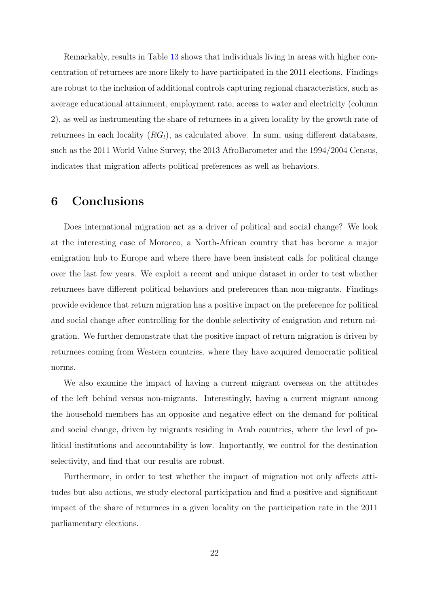Remarkably, results in Table [13](#page-39-0) shows that individuals living in areas with higher concentration of returnees are more likely to have participated in the 2011 elections. Findings are robust to the inclusion of additional controls capturing regional characteristics, such as average educational attainment, employment rate, access to water and electricity (column 2), as well as instrumenting the share of returnees in a given locality by the growth rate of returnees in each locality  $(RG_l)$ , as calculated above. In sum, using different databases, such as the 2011 World Value Survey, the 2013 AfroBarometer and the 1994/2004 Census, indicates that migration affects political preferences as well as behaviors.

## 6 Conclusions

Does international migration act as a driver of political and social change? We look at the interesting case of Morocco, a North-African country that has become a major emigration hub to Europe and where there have been insistent calls for political change over the last few years. We exploit a recent and unique dataset in order to test whether returnees have different political behaviors and preferences than non-migrants. Findings provide evidence that return migration has a positive impact on the preference for political and social change after controlling for the double selectivity of emigration and return migration. We further demonstrate that the positive impact of return migration is driven by returnees coming from Western countries, where they have acquired democratic political norms.

We also examine the impact of having a current migrant overseas on the attitudes of the left behind versus non-migrants. Interestingly, having a current migrant among the household members has an opposite and negative effect on the demand for political and social change, driven by migrants residing in Arab countries, where the level of political institutions and accountability is low. Importantly, we control for the destination selectivity, and find that our results are robust.

Furthermore, in order to test whether the impact of migration not only affects attitudes but also actions, we study electoral participation and find a positive and significant impact of the share of returnees in a given locality on the participation rate in the 2011 parliamentary elections.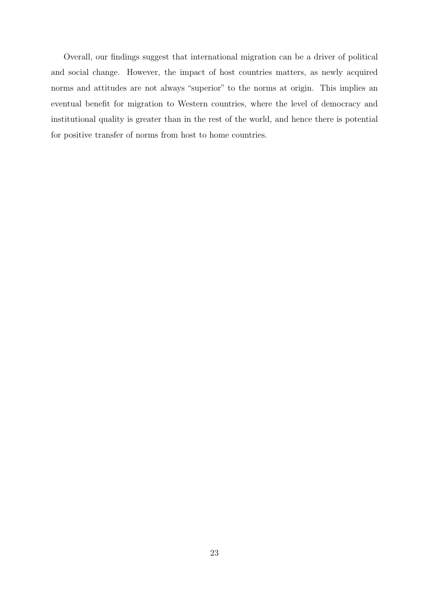Overall, our findings suggest that international migration can be a driver of political and social change. However, the impact of host countries matters, as newly acquired norms and attitudes are not always "superior" to the norms at origin. This implies an eventual benefit for migration to Western countries, where the level of democracy and institutional quality is greater than in the rest of the world, and hence there is potential for positive transfer of norms from host to home countries.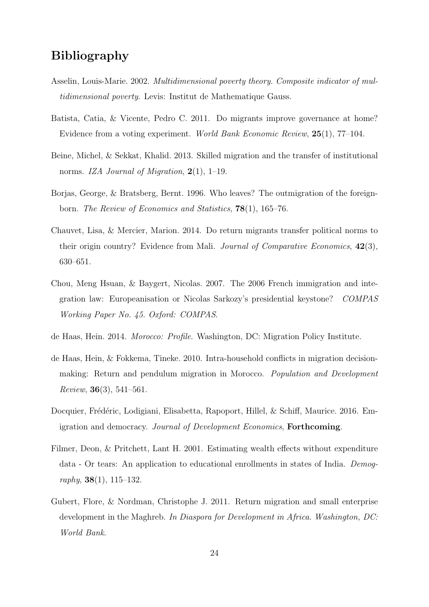## Bibliography

- <span id="page-25-7"></span>Asselin, Louis-Marie. 2002. Multidimensional poverty theory. Composite indicator of multidimensional poverty. Levis: Institut de Mathematique Gauss.
- <span id="page-25-0"></span>Batista, Catia, & Vicente, Pedro C. 2011. Do migrants improve governance at home? Evidence from a voting experiment. World Bank Economic Review, 25(1), 77–104.
- <span id="page-25-1"></span>Beine, Michel, & Sekkat, Khalid. 2013. Skilled migration and the transfer of institutional norms. IZA Journal of Migration,  $2(1)$ , 1–19.
- <span id="page-25-9"></span>Borjas, George, & Bratsberg, Bernt. 1996. Who leaves? The outmigration of the foreignborn. The Review of Economics and Statistics, 78(1), 165–76.
- <span id="page-25-3"></span>Chauvet, Lisa, & Mercier, Marion. 2014. Do return migrants transfer political norms to their origin country? Evidence from Mali. Journal of Comparative Economics, 42(3), 630–651.
- <span id="page-25-8"></span>Chou, Meng Hsuan, & Baygert, Nicolas. 2007. The 2006 French immigration and integration law: Europeanisation or Nicolas Sarkozy's presidential keystone? COMPAS Working Paper No. 45. Oxford: COMPAS.
- <span id="page-25-4"></span>de Haas, Hein. 2014. Morocco: Profile. Washington, DC: Migration Policy Institute.
- <span id="page-25-10"></span>de Haas, Hein, & Fokkema, Tineke. 2010. Intra-household conflicts in migration decisionmaking: Return and pendulum migration in Morocco. Population and Development *Review*, **36** $(3)$ , **541–561**.
- <span id="page-25-2"></span>Docquier, Frédéric, Lodigiani, Elisabetta, Rapoport, Hillel, & Schiff, Maurice. 2016. Emigration and democracy. Journal of Development Economics, Forthcoming.
- <span id="page-25-6"></span>Filmer, Deon, & Pritchett, Lant H. 2001. Estimating wealth effects without expenditure data - Or tears: An application to educational enrollments in states of India. Demography,  $38(1)$ ,  $115-132$ .
- <span id="page-25-5"></span>Gubert, Flore, & Nordman, Christophe J. 2011. Return migration and small enterprise development in the Maghreb. In Diaspora for Development in Africa. Washington, DC: World Bank.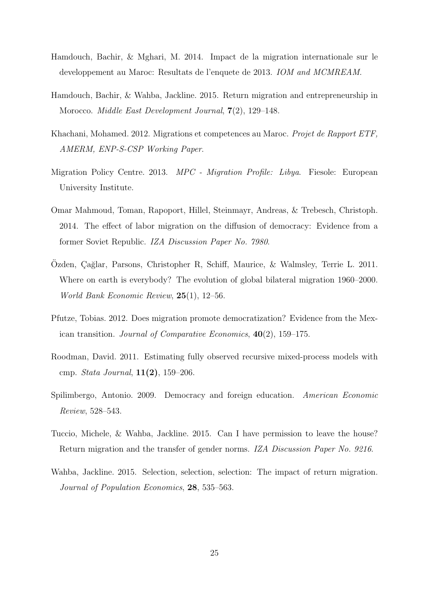- <span id="page-26-5"></span>Hamdouch, Bachir, & Mghari, M. 2014. Impact de la migration internationale sur le developpement au Maroc: Resultats de l'enquete de 2013. IOM and MCMREAM.
- <span id="page-26-0"></span>Hamdouch, Bachir, & Wahba, Jackline. 2015. Return migration and entrepreneurship in Morocco. *Middle East Development Journal*,  $7(2)$ , 129–148.
- <span id="page-26-4"></span>Khachani, Mohamed. 2012. Migrations et competences au Maroc. Projet de Rapport ETF, AMERM, ENP-S-CSP Working Paper.
- <span id="page-26-10"></span>Migration Policy Centre. 2013. MPC - Migration Profile: Libya. Fiesole: European University Institute.
- <span id="page-26-2"></span>Omar Mahmoud, Toman, Rapoport, Hillel, Steinmayr, Andreas, & Trebesch, Christoph. 2014. The effect of labor migration on the diffusion of democracy: Evidence from a former Soviet Republic. IZA Discussion Paper No. 7980.
- <span id="page-26-9"></span>Ozden, Çağlar, Parsons, Christopher R, Schiff, Maurice, & Walmsley, Terrie L. 2011. Where on earth is everybody? The evolution of global bilateral migration 1960–2000. World Bank Economic Review, 25(1), 12–56.
- <span id="page-26-3"></span>Pfutze, Tobias. 2012. Does migration promote democratization? Evidence from the Mexican transition. Journal of Comparative Economics, 40(2), 159–175.
- <span id="page-26-8"></span>Roodman, David. 2011. Estimating fully observed recursive mixed-process models with cmp. Stata Journal, 11(2), 159–206.
- <span id="page-26-1"></span>Spilimbergo, Antonio. 2009. Democracy and foreign education. American Economic Review, 528–543.
- <span id="page-26-6"></span>Tuccio, Michele, & Wahba, Jackline. 2015. Can I have permission to leave the house? Return migration and the transfer of gender norms. IZA Discussion Paper No. 9216.
- <span id="page-26-7"></span>Wahba, Jackline. 2015. Selection, selection, selection: The impact of return migration. Journal of Population Economics, 28, 535–563.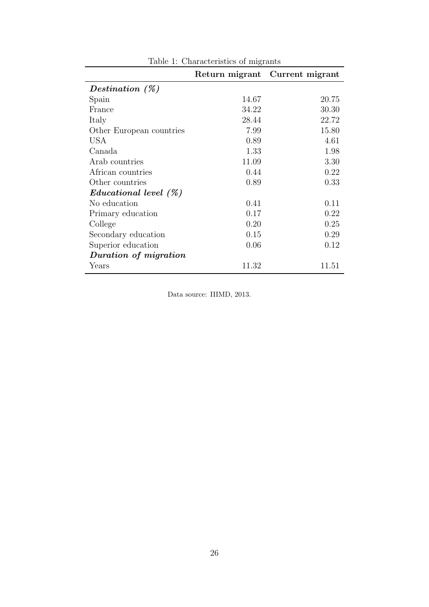|                                |       | Return migrant Current migrant |
|--------------------------------|-------|--------------------------------|
| Destination $(\%)$             |       |                                |
| Spain                          | 14.67 | 20.75                          |
| France                         | 34.22 | 30.30                          |
| Italy                          | 28.44 | 22.72                          |
| Other European countries       | 7.99  | 15.80                          |
| USA                            | 0.89  | 4.61                           |
| Canada                         | 1.33  | 1.98                           |
| Arab countries                 | 11.09 | 3.30                           |
| African countries              | 0.44  | 0.22                           |
| Other countries                | 0.89  | 0.33                           |
| $\emph{Educational level (%)}$ |       |                                |
| No education                   | 0.41  | 0.11                           |
| Primary education              | 0.17  | 0.22                           |
| College                        | 0.20  | 0.25                           |
| Secondary education            | 0.15  | 0.29                           |
| Superior education             | 0.06  | 0.12                           |
| Duration of migration          |       |                                |
| Years                          | 11.32 | 11.51                          |

<span id="page-27-0"></span>Table 1: Characteristics of migrants

Data source: IIIMD, 2013.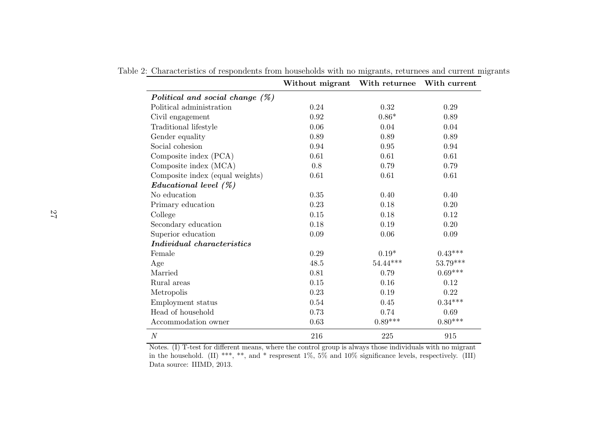|                                    | Without migrant With returnee |            | With current |
|------------------------------------|-------------------------------|------------|--------------|
| Political and social change $(\%)$ |                               |            |              |
| Political administration           | 0.24                          | 0.32       | 0.29         |
| Civil engagement                   | 0.92                          | $0.86*$    | 0.89         |
| Traditional lifestyle              | 0.06                          | 0.04       | 0.04         |
| Gender equality                    | 0.89                          | 0.89       | 0.89         |
| Social cohesion                    | 0.94                          | 0.95       | 0.94         |
| Composite index (PCA)              | 0.61                          | 0.61       | 0.61         |
| Composite index (MCA)              | 0.8                           | 0.79       | 0.79         |
| Composite index (equal weights)    | 0.61                          | 0.61       | 0.61         |
| Educational level (%)              |                               |            |              |
| No education                       | 0.35                          | 0.40       | 0.40         |
| Primary education                  | 0.23                          | 0.18       | 0.20         |
| College                            | $0.15\,$                      | 0.18       | 0.12         |
| Secondary education                | 0.18                          | 0.19       | 0.20         |
| Superior education                 | 0.09                          | 0.06       | 0.09         |
| Individual characteristics         |                               |            |              |
| Female                             | 0.29                          | $0.19*$    | $0.43***$    |
| Age                                | 48.5                          | $54.44***$ | 53.79***     |
| Married                            | 0.81                          | 0.79       | $0.69***$    |
| Rural areas                        | 0.15                          | 0.16       | 0.12         |
| Metropolis                         | 0.23                          | 0.19       | 0.22         |
| Employment status                  | 0.54                          | 0.45       | $0.34***$    |
| Head of household                  | 0.73                          | 0.74       | 0.69         |
| Accommodation owner                | 0.63                          | $0.89***$  | $0.80***$    |
| N                                  | 216                           | 225        | 915          |

<span id="page-28-0"></span>Table 2: Characteristics of respondents from households with no migrants, returnees and current migrants

Notes. (I) T-test for different means, where the control group is always those individuals with no migrant in the household. (II) \*\*\*, \*\*, and \* respresent 1%, 5% and 10% significance levels, respectively. (III) Data source: IIIMD, 2013.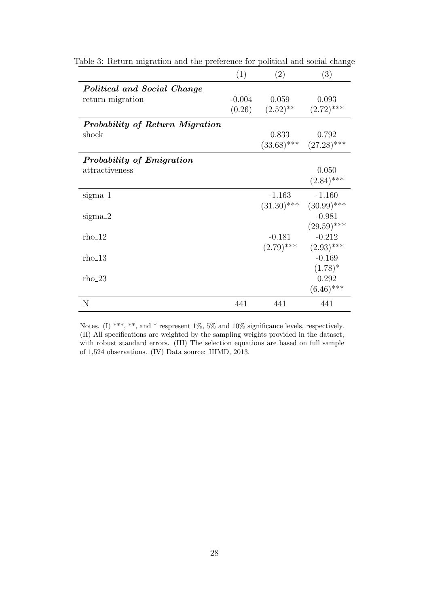<span id="page-29-0"></span>

|                                 | (1)      | (2)           | (3)                         |
|---------------------------------|----------|---------------|-----------------------------|
| Political and Social Change     |          |               |                             |
| return migration                | $-0.004$ | 0.059         | 0.093                       |
|                                 | (0.26)   | $(2.52)$ **   | $(2.72)$ ***                |
| Probability of Return Migration |          |               |                             |
| shock                           |          | 0.833         | 0.792                       |
|                                 |          |               | $(33.68)$ *** $(27.28)$ *** |
| Probability of Emigration       |          |               |                             |
| attractiveness                  |          |               | 0.050                       |
|                                 |          |               | $(2.84)$ ***                |
| sigma <sub>-1</sub>             |          | $-1.163$      | $-1.160$                    |
|                                 |          | $(31.30)$ *** | $(30.99)$ ***               |
| $sigma_2$                       |          |               | $-0.981$                    |
|                                 |          |               | $(29.59)$ ***               |
| $rho_12$                        |          | $-0.181$      | $-0.212$                    |
|                                 |          | $(2.79)$ ***  | $(2.93)$ ***                |
| $rho_13$                        |          |               | $-0.169$                    |
|                                 |          |               | $(1.78)^*$                  |
| $rho_2$ 3                       |          |               | 0.292                       |
|                                 |          |               | $(6.46)$ ***                |
| N                               | 441      | 441           | 441                         |

Table 3: Return migration and the preference for political and social change

Notes. (I) \*\*\*, \*\*, and \* respresent 1%, 5% and 10% significance levels, respectively. (II) All specifications are weighted by the sampling weights provided in the dataset, with robust standard errors. (III) The selection equations are based on full sample of 1,524 observations. (IV) Data source: IIIMD, 2013.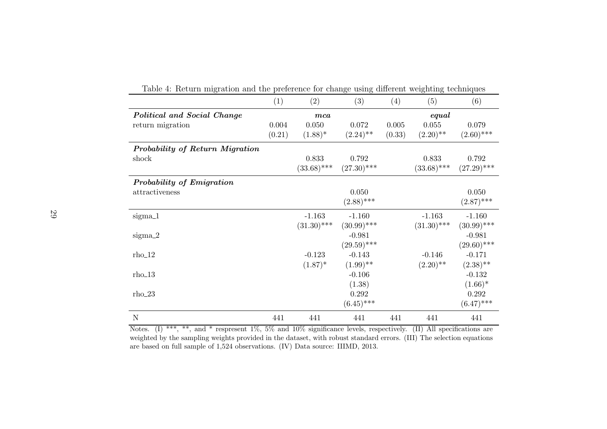|                                 | (1)    | (2)           | (3)           | (4)    | (5)           | (6)           |
|---------------------------------|--------|---------------|---------------|--------|---------------|---------------|
| Political and Social Change     |        | $_{mca}$      |               |        | equal         |               |
| return migration                | 0.004  | 0.050         | 0.072         | 0.005  | 0.055         | 0.079         |
|                                 | (0.21) | $(1.88)^*$    | $(2.24)$ **   | (0.33) | $(2.20)$ **   | $(2.60)$ ***  |
| Probability of Return Migration |        |               |               |        |               |               |
| shock                           |        | 0.833         | 0.792         |        | 0.833         | 0.792         |
|                                 |        | $(33.68)$ *** | $(27.30)$ *** |        | $(33.68)$ *** | $(27.29)$ *** |
| Probability of Emigration       |        |               |               |        |               |               |
| attractiveness                  |        |               | 0.050         |        |               | 0.050         |
|                                 |        |               | $(2.88)$ ***  |        |               | $(2.87)$ ***  |
| sigma_1                         |        | $-1.163$      | $-1.160$      |        | $-1.163$      | $-1.160$      |
|                                 |        | $(31.30)$ *** | $(30.99)$ *** |        | $(31.30)$ *** | $(30.99)$ *** |
| $sigma_2$                       |        |               | $-0.981$      |        |               | $-0.981$      |
|                                 |        |               | $(29.59)$ *** |        |               | $(29.60)$ *** |
| $rho_12$                        |        | $-0.123$      | $-0.143$      |        | $-0.146$      | $-0.171$      |
|                                 |        | $(1.87)^*$    | $(1.99)$ **   |        | $(2.20)$ **   | $(2.38)$ **   |
| $rho_13$                        |        |               | $-0.106$      |        |               | $-0.132$      |
|                                 |        |               | (1.38)        |        |               | $(1.66)^*$    |
| $rho_2$ 3                       |        |               | 0.292         |        |               | 0.292         |
|                                 |        |               | $(6.45)$ ***  |        |               | $(6.47)$ ***  |
| N                               | 441    | 441           | 441           | 441    | 441           | 441           |

<span id="page-30-0"></span>Table 4: Return migration and the preference for change using different weighting techniques

Notes. (I) \*\*\*, \*\*, and \* respresent 1%, 5% and 10% significance levels, respectively. (II) All specifications are weighted by the sampling weights provided in the dataset, with robust standard errors. (III) The selection equationsare based on full sample of 1,524 observations. (IV) Data source: IIIMD, 2013.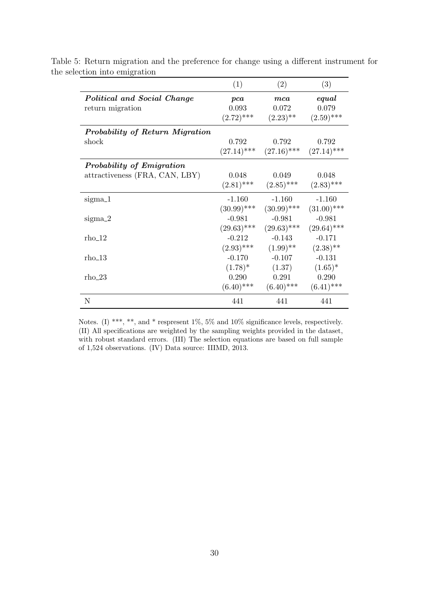<span id="page-31-0"></span>

|                                 | (1)           | (2)                                       | (3)           |
|---------------------------------|---------------|-------------------------------------------|---------------|
| Political and Social Change     | pca           | $_{mca}$                                  | equal         |
| return migration                | 0.093         | 0.072                                     | 0.079         |
|                                 | $(2.72)$ ***  | $(2.23)$ **                               | $(2.59)$ ***  |
| Probability of Return Migration |               |                                           |               |
| shock                           | 0.792         | 0.792                                     | 0.792         |
|                                 |               | $(27.14)$ *** $(27.16)$ *** $(27.14)$ *** |               |
| Probability of Emigration       |               |                                           |               |
| attractiveness (FRA, CAN, LBY)  | 0.048         | 0.049                                     | 0.048         |
|                                 | $(2.81)$ ***  | $(2.85)$ ***                              | $(2.83)$ ***  |
| sigma_1                         | $-1.160$      | $-1.160$                                  | $-1.160$      |
|                                 | $(30.99)$ *** | $(30.99)$ ***                             | $(31.00)$ *** |
| $sigma_2$                       | $-0.981$      | $-0.981$                                  | $-0.981$      |
|                                 | $(29.63)$ *** | $(29.63)$ ***                             | $(29.64)$ *** |
| $rho_1$ 12                      | $-0.212$      | $-0.143$                                  | $-0.171$      |
|                                 | $(2.93)$ ***  | $(1.99)$ **                               | $(2.38)$ **   |
| $rho_{13}$                      | $-0.170$      | $-0.107$                                  | $-0.131$      |
|                                 | $(1.78)^*$    | (1.37)                                    | $(1.65)^*$    |
| rho_23                          | 0.290         | 0.291                                     | 0.290         |
|                                 | $(6.40)$ ***  | $(6.40)$ ***                              | $(6.41)$ ***  |
| N                               | 441           | 441                                       | 441           |

Table 5: Return migration and the preference for change using a different instrument for the selection into emigration

Notes. (I) \*\*\*, \*\*, and \* respresent 1%, 5% and 10% significance levels, respectively. (II) All specifications are weighted by the sampling weights provided in the dataset, with robust standard errors. (III) The selection equations are based on full sample of 1,524 observations. (IV) Data source: IIIMD, 2013.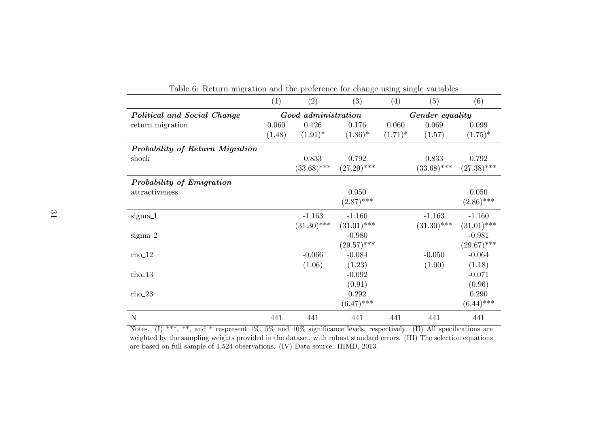|                                 | (1)    | (2)                 | (3)           | (4)        | (5)             | (6)           |
|---------------------------------|--------|---------------------|---------------|------------|-----------------|---------------|
| Political and Social Change     |        | Good administration |               |            | Gender equality |               |
| return migration                | 0.060  | 0.126               | 0.176         | 0.060      | 0.069           | 0.099         |
|                                 | (1.48) | $(1.91)^*$          | $(1.86)^*$    | $(1.71)^*$ | (1.57)          | $(1.75)^*$    |
| Probability of Return Migration |        |                     |               |            |                 |               |
| shock                           |        | 0.833               | 0.792         |            | 0.833           | 0.792         |
|                                 |        | $(33.68)$ ***       | $(27.29)$ *** |            | $(33.68)$ ***   | $(27.38)$ *** |
| Probability of Emigration       |        |                     |               |            |                 |               |
| attractiveness                  |        |                     | 0.050         |            |                 | 0.050         |
|                                 |        |                     | $(2.87)$ ***  |            |                 | $(2.86)$ ***  |
| sigma_1                         |        | $-1.163$            | $-1.160$      |            | $-1.163$        | $-1.160$      |
|                                 |        | $(31.30)$ ***       | $(31.01)$ *** |            | $(31.30)$ ***   | $(31.01)$ *** |
| $sigma_2$                       |        |                     | $-0.980$      |            |                 | $-0.981$      |
|                                 |        |                     | $(29.57)$ *** |            |                 | $(29.67)$ *** |
| $rho_12$                        |        | $-0.066$            | $-0.084$      |            | $-0.050$        | $-0.064$      |
|                                 |        | (1.06)              | (1.23)        |            | (1.00)          | (1.18)        |
| $rho_13$                        |        |                     | $-0.092$      |            |                 | $-0.071$      |
|                                 |        |                     | (0.91)        |            |                 | (0.96)        |
| $rho_2$ 3                       |        |                     | 0.292         |            |                 | 0.290         |
|                                 |        |                     | $(6.47)$ ***  |            |                 | $(6.44)$ ***  |
| N                               | 441    | 441                 | 441           | 441        | 441             | 441           |

<span id="page-32-0"></span>Table 6: Return migration and the preference for change using single variables

Notes. (I) \*\*\*, \*\*, and \* respresent 1%, 5% and 10% significance levels, respectively. (II) All specifications are weighted by the sampling weights provided in the dataset, with robust standard errors. (III) The selection equationsare based on full sample of 1,524 observations. (IV) Data source: IIIMD, 2013.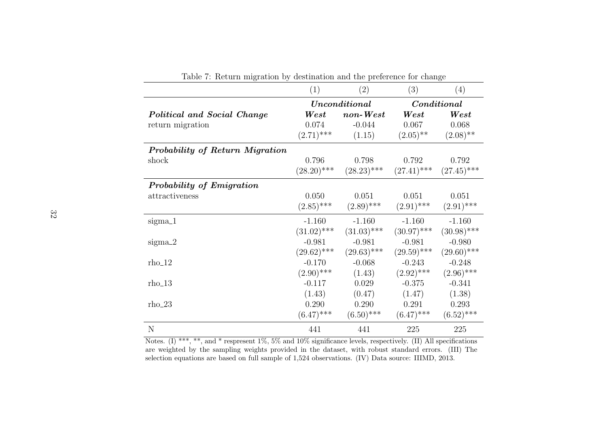|                                 | (1)                                                 | (2)           | (3)                          | (4)           |
|---------------------------------|-----------------------------------------------------|---------------|------------------------------|---------------|
|                                 |                                                     | Unconditional |                              | Conditional   |
| Political and Social Change     | $\mathit{non-West}$<br>$\boldsymbol{\mathit{West}}$ |               | $\boldsymbol{\mathit{West}}$ | West          |
| return migration                | 0.074                                               | $-0.044$      | 0.067                        | 0.068         |
|                                 | $(2.71)$ ***                                        | (1.15)        | $(2.05)$ <sup>**</sup>       | $(2.08)$ **   |
| Probability of Return Migration |                                                     |               |                              |               |
| shock                           | 0.796                                               | 0.798         | 0.792                        | 0.792         |
|                                 | $(28.20)$ ***                                       | $(28.23)$ *** | $(27.41)$ ***                | $(27.45)$ *** |
| Probability of Emigration       |                                                     |               |                              |               |
| attractiveness                  | 0.050                                               | 0.051         | 0.051                        | 0.051         |
|                                 | $(2.85)$ ***                                        | $(2.89)$ ***  | $(2.91)$ ***                 | $(2.91)$ ***  |
| sigma_1                         | $-1.160$                                            | $-1.160$      | $-1.160$                     | $-1.160$      |
|                                 | $(31.02)$ ***                                       | $(31.03)$ *** | $(30.97)$ ***                | $(30.98)$ *** |
| $sigma_2$                       | $-0.981$                                            | $-0.981$      | $-0.981$                     | $-0.980$      |
|                                 | $(29.62)$ ***                                       | $(29.63)$ *** | $(29.59)$ ***                | $(29.60)$ *** |
| $rho_12$                        | $-0.170$                                            | $-0.068$      | $-0.243$                     | $-0.248$      |
|                                 | $(2.90)$ ***                                        | (1.43)        | $(2.92)$ ***                 | $(2.96)$ ***  |
| $rho_13$                        | $-0.117$                                            | 0.029         | $-0.375$                     | $-0.341$      |
|                                 | (1.43)                                              | (0.47)        | (1.47)                       | (1.38)        |
| $rho_2$ 3                       | 0.290                                               | 0.290         | 0.291                        | 0.293         |
|                                 | $(6.47)$ ***                                        | $(6.50)$ ***  | $(6.47)$ ***                 | $(6.52)$ ***  |
| $\mathbf N$                     | 441                                                 | 441           | 225                          | 225           |

<span id="page-33-0"></span>Table 7: Return migration by destination and the preference for change

Notes. (I) \*\*\*, \*\*, and \* respresent 1%, 5% and 10% significance levels, respectively. (II) All specifications are weighted by the sampling weights provided in the dataset, with robust standard errors. (III) Theselection equations are based on full sample of 1,524 observations. (IV) Data source: IIIMD, 2013.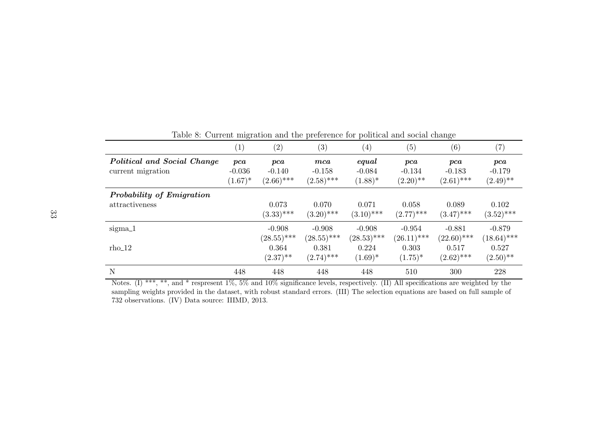|                                                  | $\left( 1\right)$             | (2)                             | $\left( 3\right)$               | $\left( 4\right)$               | (5)                            | (6)                             | $\left( 7\right)$              |
|--------------------------------------------------|-------------------------------|---------------------------------|---------------------------------|---------------------------------|--------------------------------|---------------------------------|--------------------------------|
| Political and Social Change<br>current migration | pca<br>$-0.036$<br>$(1.67)^*$ | pca<br>$-0.140$<br>$(2.66)$ *** | mca<br>$-0.158$<br>$(2.58)$ *** | equal<br>$-0.084$<br>$(1.88)^*$ | pca<br>$-0.134$<br>$(2.20)$ ** | pca<br>$-0.183$<br>$(2.61)$ *** | pca<br>$-0.179$<br>$(2.49)$ ** |
| Probability of Emigration<br>attractiveness      |                               | 0.073<br>$(3.33)$ ***           | 0.070<br>$(3.20)$ ***           | 0.071<br>$(3.10)$ ***           | 0.058<br>$(2.77)$ ***          | 0.089<br>$(3.47)$ ***           | 0.102<br>$(3.52)$ ***          |
| $sigma_1$                                        |                               | $-0.908$<br>$(28.55)$ ***       | $-0.908$<br>$(28.55)$ ***       | $-0.908$<br>$(28.53)$ ***       | $-0.954$<br>$(26.11)$ ***      | $-0.881$<br>$(22.60)$ ***       | $-0.879$<br>$(18.64)$ ***      |
| $rho_12$                                         |                               | 0.364<br>$(2.37)$ **            | 0.381<br>$(2.74)$ ***           | 0.224<br>$(1.69)^*$             | 0.303<br>$(1.75)^*$            | 0.517<br>$(2.62)$ ***           | 0.527<br>$(2.50)$ **           |
| N                                                | 448                           | 448                             | 448                             | 448                             | 510                            | 300                             | 228                            |

<span id="page-34-0"></span>Table 8: Current migration and the preference for political and social change

Notes. (I) \*\*\*, \*\*, and \* respresent 1%, 5% and 10% significance levels, respectively. (II) All specifications are weighted by the sampling weights provided in the dataset, with robust standard errors. (III) The selection equations are based on full sample of<sup>732</sup> observations. (IV) Data source: IIIMD, 2013.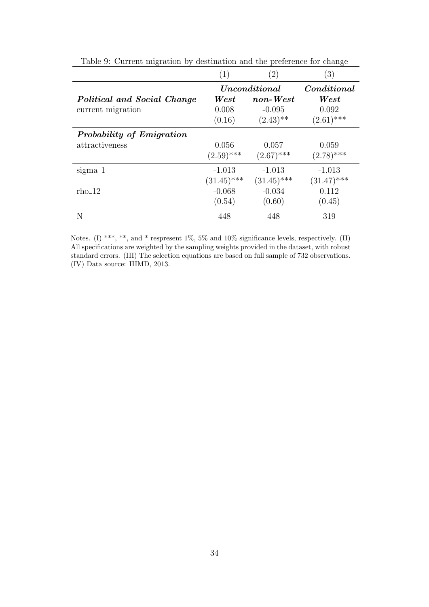|                             | $\left( 1\right)$            | $\left( 2\right)$ | $\left(3\right)$             |
|-----------------------------|------------------------------|-------------------|------------------------------|
|                             |                              | Unconditional     | Conditional                  |
| Political and Social Change | $\boldsymbol{\mathit{West}}$ | $\it non-West$    | $\boldsymbol{\mathit{West}}$ |
| current migration           | 0.008                        | $-0.095$          | 0.092                        |
|                             | (0.16)                       | $(2.43)$ **       | $(2.61)$ ***                 |
| Probability of Emigration   |                              |                   |                              |
| attractiveness              | 0.056                        | 0.057             | 0.059                        |
|                             | $(2.59)$ ***                 | $(2.67)$ ***      | $(2.78)$ ***                 |
| $sigma_1$                   | $-1.013$                     | $-1.013$          | $-1.013$                     |
|                             | $(31.45)$ ***                | $(31.45)$ ***     | $(31.47)$ ***                |
| $rho_12$                    | $-0.068$                     | $-0.034$          | 0.112                        |
|                             | (0.54)                       | (0.60)            | (0.45)                       |
| N                           | 448                          | 448               | 319                          |

<span id="page-35-0"></span>Table 9: Current migration by destination and the preference for change

Notes. (I) \*\*\*, \*\*, and \* respresent 1%, 5% and 10% significance levels, respectively. (II) All specifications are weighted by the sampling weights provided in the dataset, with robust standard errors. (III) The selection equations are based on full sample of 732 observations. (IV) Data source: IIIMD, 2013.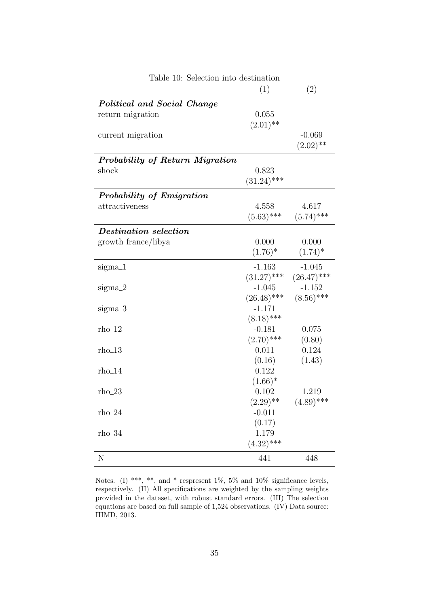<span id="page-36-0"></span>

| Table 10: Selection into destination |               |               |  |  |  |
|--------------------------------------|---------------|---------------|--|--|--|
|                                      | (1)           | (2)           |  |  |  |
| Political and Social Change          |               |               |  |  |  |
| return migration                     | 0.055         |               |  |  |  |
|                                      | $(2.01)$ **   |               |  |  |  |
| current migration                    |               | $-0.069$      |  |  |  |
|                                      |               | $(2.02)$ **   |  |  |  |
| Probability of Return Migration      |               |               |  |  |  |
| shock                                | 0.823         |               |  |  |  |
|                                      | $(31.24)$ *** |               |  |  |  |
| Probability of Emigration            |               |               |  |  |  |
| attractiveness                       | 4.558         | 4.617         |  |  |  |
|                                      | $(5.63)$ ***  | $(5.74)$ ***  |  |  |  |
| Destination selection                |               |               |  |  |  |
| growth france/libya                  | 0.000         | 0.000         |  |  |  |
|                                      | $(1.76)^*$    | $(1.74)^*$    |  |  |  |
| $sigma_1$                            | $-1.163$      | $-1.045$      |  |  |  |
|                                      | $(31.27)$ *** | $(26.47)$ *** |  |  |  |
| $sigma_2$                            | $-1.045$      | $-1.152$      |  |  |  |
|                                      | $(26.48)$ *** | $(8.56)$ ***  |  |  |  |
| sigma_3                              | $-1.171$      |               |  |  |  |
|                                      | $(8.18)$ ***  |               |  |  |  |
| $rho_{12}$                           | $-0.181$      | 0.075         |  |  |  |
|                                      | $(2.70)$ ***  | (0.80)        |  |  |  |
| $rho_{13}$                           | 0.011         | 0.124         |  |  |  |
|                                      | (0.16)        | (1.43)        |  |  |  |
| $rho_14$                             | 0.122         |               |  |  |  |
|                                      | $(1.66)^*$    |               |  |  |  |
| $rho_2$ 3                            | 0.102         | 1.219         |  |  |  |
|                                      | $(2.29)$ **   | $(4.89)$ ***  |  |  |  |
| $rho_2$                              | $-0.011$      |               |  |  |  |
|                                      | (0.17)        |               |  |  |  |
| $rho_34$                             | 1.179         |               |  |  |  |
|                                      | $(4.32)$ ***  |               |  |  |  |
| N                                    | 441           | 448           |  |  |  |

Notes. (I) \*\*\*, \*\*, and \* respresent 1%, 5% and 10% significance levels, respectively. (II) All specifications are weighted by the sampling weights provided in the dataset, with robust standard errors. (III) The selection equations are based on full sample of 1,524 observations. (IV) Data source: IIIMD, 2013.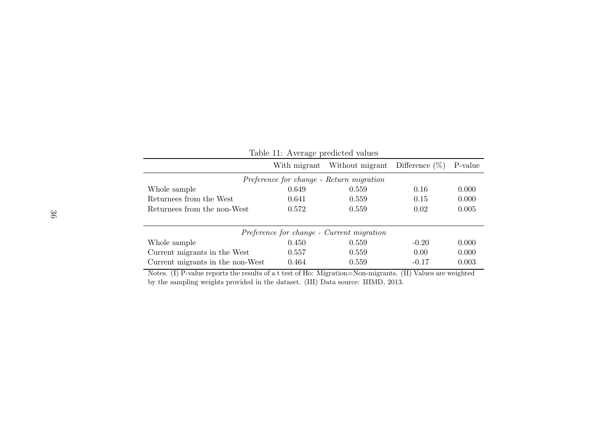<span id="page-37-0"></span>

| Table 11: Average predicted values       |              |                                           |                   |         |  |
|------------------------------------------|--------------|-------------------------------------------|-------------------|---------|--|
|                                          | With migrant | Without migrant                           | Difference $(\%)$ | P-value |  |
| Preference for change - Return migration |              |                                           |                   |         |  |
| Whole sample                             | 0.649        | 0.559                                     | 0.16              | 0.000   |  |
| Returnees from the West                  | 0.641        | 0.559                                     | 0.15              | 0.000   |  |
| Returnees from the non-West              | 0.572        | 0.559                                     | 0.02              | 0.005   |  |
|                                          |              |                                           |                   |         |  |
|                                          |              | Preference for change - Current migration |                   |         |  |
| Whole sample                             | 0.450        | 0.559                                     | $-0.20$           | 0.000   |  |
| Current migrants in the West             | 0.557        | 0.559                                     | 0.00              | 0.000   |  |
| Current migrants in the non-West         | 0.464        | 0.559                                     | $-0.17$           | 0.003   |  |

 Notes. (I) P-value reports the results of <sup>a</sup> <sup>t</sup> test of Ho: Migration=Non-migrants. (II) Values are weightedby the sampling weights provided in the dataset. (III) Data source: IIIMD, 2013.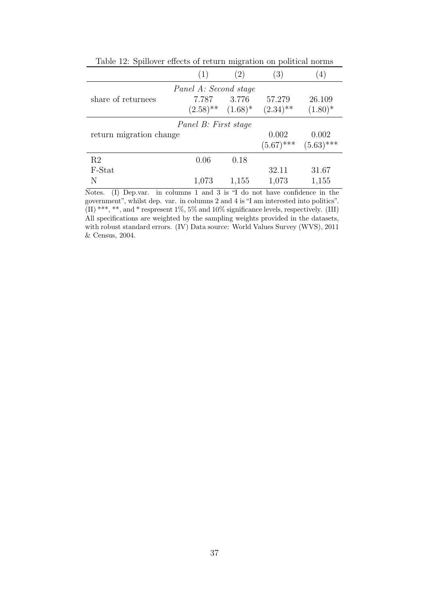|                         | (1)                                          | (2)   | $\left( 3\right)$      | $^{\prime}4)$ |
|-------------------------|----------------------------------------------|-------|------------------------|---------------|
|                         | Panel A: Second stage                        |       |                        |               |
| share of returnees      | 7.787                                        | 3.776 | 57.279                 | 26.109        |
|                         | $(2.58)$ <sup>**</sup> $(1.68)$ <sup>*</sup> |       | $(2.34)$ <sup>**</sup> | $(1.80)^*$    |
|                         | Panel B: First stage                         |       |                        |               |
| return migration change |                                              |       | 0.002                  | 0.002         |
|                         |                                              |       | $(5.67)$ ***           | $(5.63)$ ***  |
| R <sub>2</sub>          | 0.06                                         | 0.18  |                        |               |
| F-Stat                  |                                              |       | 32.11                  | 31.67         |
| N                       | 1,073                                        | 1,155 | 1,073                  | 1,155         |

<span id="page-38-0"></span>Table 12: Spillover effects of return migration on political norms

Notes. (I) Dep.var. in columns 1 and 3 is "I do not have confidence in the government", whilst dep. var. in columns 2 and 4 is "I am interested into politics". (II) \*\*\*, \*\*, and \* respresent 1%, 5% and 10% significance levels, respectively. (III) All specifications are weighted by the sampling weights provided in the datasets, with robust standard errors. (IV) Data source: World Values Survey (WVS), 2011 & Census, 2004.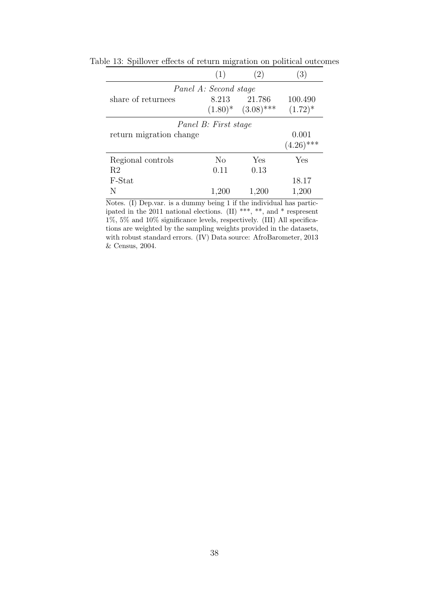<span id="page-39-0"></span>

|                         | (1)            | (2)                     | (3)          |  |  |  |
|-------------------------|----------------|-------------------------|--------------|--|--|--|
| Panel A: Second stage   |                |                         |              |  |  |  |
| share of returnees      | 8.213          | 21.786                  | 100.490      |  |  |  |
|                         |                | $(1.80)$ * $(3.08)$ *** | $(1.72)^*$   |  |  |  |
| Panel B: First stage    |                |                         |              |  |  |  |
| return migration change |                |                         | 0.001        |  |  |  |
|                         |                |                         | $(4.26)$ *** |  |  |  |
| Regional controls       | N <sub>o</sub> | Yes                     | Yes          |  |  |  |
| R <sub>2</sub>          | 0.11           | 0.13                    |              |  |  |  |
| F-Stat                  |                |                         | 18.17        |  |  |  |
|                         | 1,200          | 1,200                   | 1,200        |  |  |  |

Table 13: Spillover effects of return migration on political outcomes

Notes. (I) Dep.var. is a dummy being 1 if the individual has participated in the 2011 national elections. (II) \*\*\*, \*\*, and \* respresent 1%, 5% and 10% significance levels, respectively. (III) All specifications are weighted by the sampling weights provided in the datasets, with robust standard errors. (IV) Data source: AfroBarometer, 2013 & Census, 2004.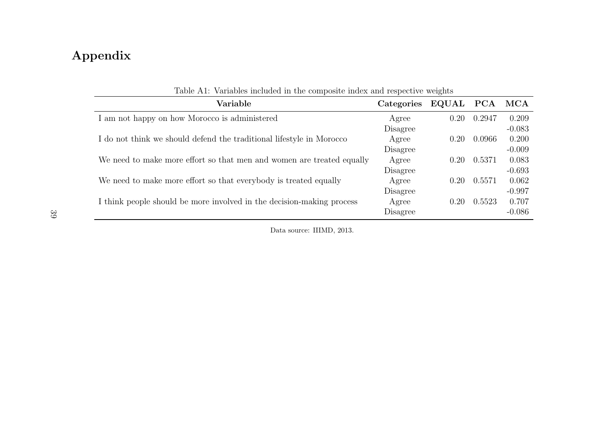## Appendix

| Variable                                                              | Categories | EQUAL PCA |        | MCA      |
|-----------------------------------------------------------------------|------------|-----------|--------|----------|
| I am not happy on how Morocco is administered                         | Agree      | 0.20      | 0.2947 | 0.209    |
|                                                                       | Disagree   |           |        | $-0.083$ |
| I do not think we should defend the traditional lifestyle in Morocco  | Agree      | 0.20      | 0.0966 | 0.200    |
|                                                                       | Disagree   |           |        | $-0.009$ |
| We need to make more effort so that men and women are treated equally | Agree      | 0.20      | 0.5371 | 0.083    |
|                                                                       | Disagree   |           |        | $-0.693$ |
| We need to make more effort so that everybody is treated equally      | Agree      | 0.20      | 0.5571 | 0.062    |
|                                                                       | Disagree   |           |        | $-0.997$ |
| I think people should be more involved in the decision-making process | Agree      | 0.20      | 0.5523 | 0.707    |
|                                                                       | Disagree   |           |        | $-0.086$ |

Table A1: Variables included in the composite index and respective weights

Data source: IIIMD, 2013.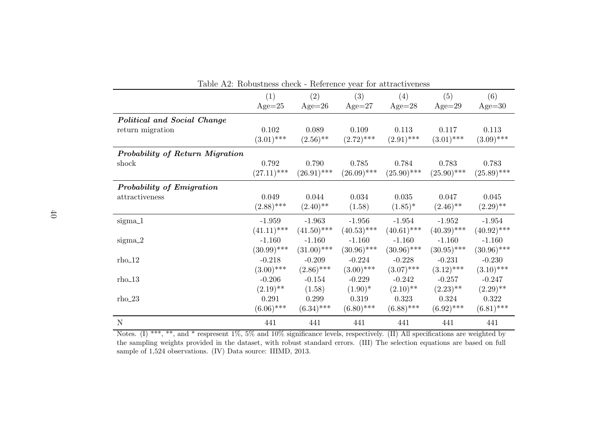| Table A2: Robustness check - Reference year for attractiveness |               |               |               |               |                        |               |
|----------------------------------------------------------------|---------------|---------------|---------------|---------------|------------------------|---------------|
|                                                                | (1)           | (2)           | (3)           | (4)           | (5)                    | (6)           |
|                                                                | $Age=25$      | $Age=26$      | $Age=27$      | $Age=28$      | $Age=29$               | $Age = 30$    |
| Political and Social Change                                    |               |               |               |               |                        |               |
| return migration                                               | 0.102         | 0.089         | 0.109         | 0.113         | 0.117                  | 0.113         |
|                                                                | $(3.01)$ ***  | $(2.56)$ **   | $(2.72)$ ***  | $(2.91)$ ***  | $(3.01)$ ***           | $(3.09)$ ***  |
| Probability of Return Migration                                |               |               |               |               |                        |               |
| shock                                                          | 0.792         | 0.790         | 0.785         | 0.784         | 0.783                  | 0.783         |
|                                                                | $(27.11)$ *** | $(26.91)$ *** | $(26.09)$ *** | $(25.90)$ *** | $(25.90)$ ***          | $(25.89)$ *** |
| Probability of Emigration                                      |               |               |               |               |                        |               |
| attractiveness                                                 | 0.049         | 0.044         | 0.034         | 0.035         | 0.047                  | 0.045         |
|                                                                | $(2.88)$ ***  | $(2.40)$ **   | (1.58)        | $(1.85)^*$    | $(2.46)$ <sup>**</sup> | $(2.29)$ **   |
| $sigma_1$                                                      | $-1.959$      | $-1.963$      | $-1.956$      | $-1.954$      | $-1.952$               | $-1.954$      |
|                                                                | $(41.11)$ *** | $(41.50)$ *** | $(40.53)$ *** | $(40.61)$ *** | $(40.39)$ ***          | $(40.92)$ *** |
| $sigma_2$                                                      | $-1.160$      | $-1.160$      | $-1.160$      | $-1.160$      | $-1.160$               | $-1.160$      |
|                                                                | $(30.99)$ *** | $(31.00)$ *** | $(30.96)$ *** | $(30.96)$ *** | $(30.95)$ ***          | $(30.96)$ *** |
| $rho_12$                                                       | $-0.218$      | $-0.209$      | $-0.224$      | $-0.228$      | $-0.231$               | $-0.230$      |
|                                                                | $(3.00)$ ***  | $(2.86)$ ***  | $(3.00)$ ***  | $(3.07)$ ***  | $(3.12)$ ***           | $(3.10)$ ***  |
| $rho_13$                                                       | $-0.206$      | $-0.154$      | $-0.229$      | $-0.242$      | $-0.257$               | $-0.247$      |
|                                                                | $(2.19)$ **   | (1.58)        | $(1.90)^*$    | $(2.10)$ **   | $(2.23)$ **            | $(2.29)$ **   |
| $rho_{23}$                                                     | 0.291         | 0.299         | 0.319         | 0.323         | 0.324                  | 0.322         |
|                                                                | $(6.06)$ ***  | $(6.34)$ ***  | $(6.80)$ ***  | $(6.88)$ ***  | $(6.92)$ ***           | $(6.81)$ ***  |
| $\mathbf N$                                                    | 441           | 441           | 441           | 441           | 441                    | 441           |

Notes. (I) \*\*\*, \*\*, and \* respresent 1%, 5% and 10% significance levels, respectively. (II) All specifications are weighted by the sampling weights provided in the dataset, with robust standard errors. (III) The selection equations are based on fullsample of 1,524 observations. (IV) Data source: IIIMD, 2013.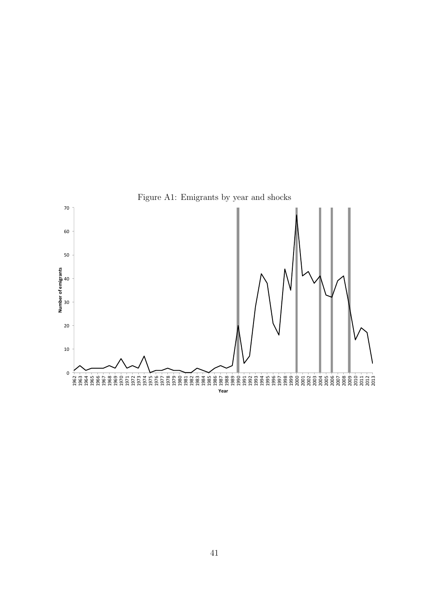

<span id="page-42-0"></span>Figure A1: Emigrants by year and shocks